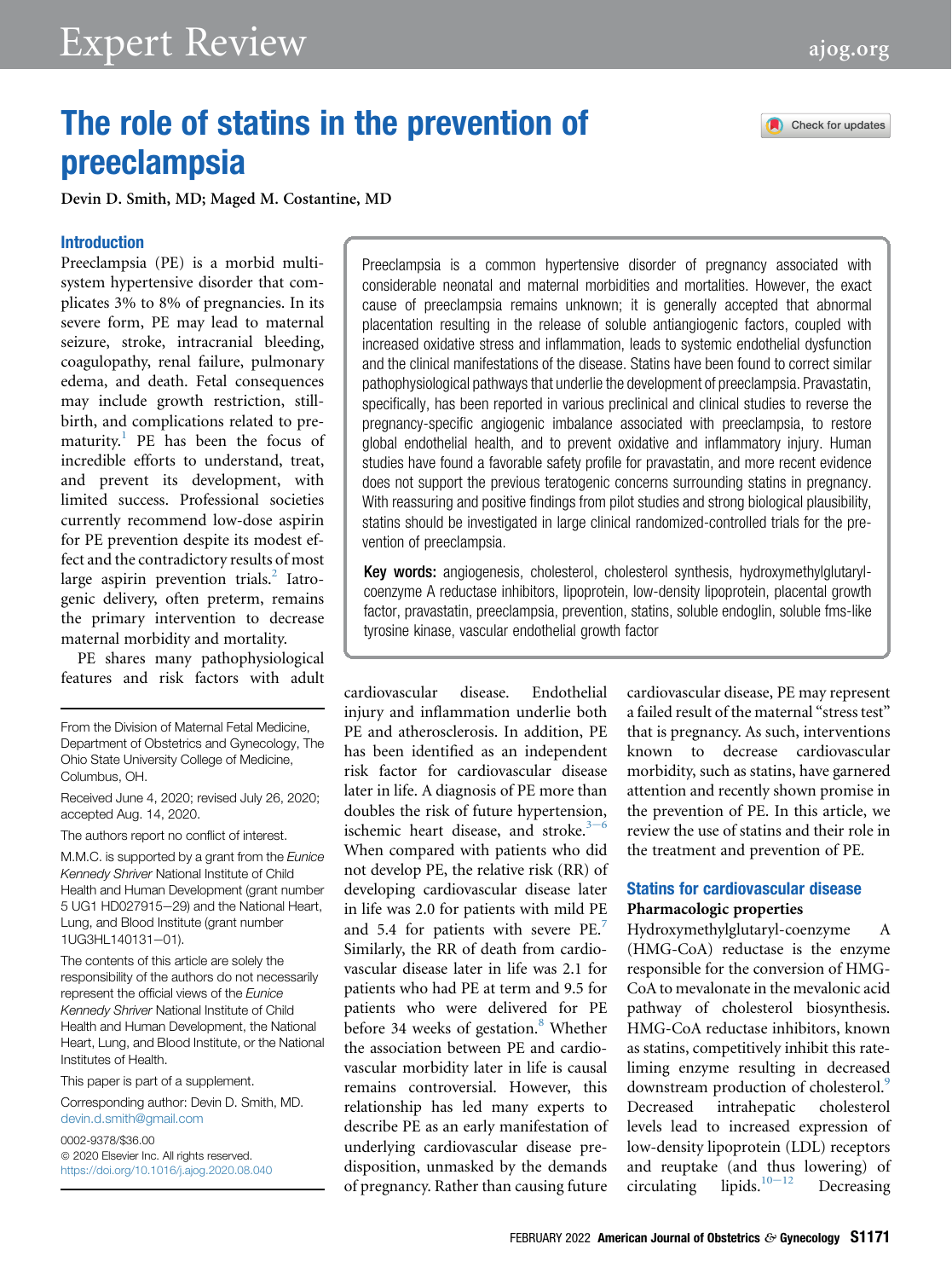# The role of statins in the prevention of preeclampsia

Devin D. Smith, MD; Maged M. Costantine, MD

### Introduction

Preeclampsia (PE) is a morbid multisystem hypertensive disorder that complicates 3% to 8% of pregnancies. In its severe form, PE may lead to maternal seizure, stroke, intracranial bleeding, coagulopathy, renal failure, pulmonary edema, and death. Fetal consequences may include growth restriction, stillbirth, and complications related to pre-maturity.<sup>[1](#page-9-0)</sup> PE has been the focus of incredible efforts to understand, treat, and prevent its development, with limited success. Professional societies currently recommend low-dose aspirin for PE prevention despite its modest effect and the contradictory results of most large aspirin prevention trials.<sup>[2](#page-9-1)</sup> Iatrogenic delivery, often preterm, remains the primary intervention to decrease maternal morbidity and mortality.

PE shares many pathophysiological features and risk factors with adult

From the Division of Maternal Fetal Medicine, Department of Obstetrics and Gynecology, The Ohio State University College of Medicine, Columbus, OH.

Received June 4, 2020; revised July 26, 2020; accepted Aug. 14, 2020.

The authors report no conflict of interest.

M.M.C. is supported by a grant from the Eunice Kennedy Shriver National Institute of Child Health and Human Development (grant number 5 UG1 HD027915-29) and the National Heart, Lung, and Blood Institute (grant number 1UG3HL140131-01).

The contents of this article are solely the responsibility of the authors do not necessarily represent the official views of the Eunice Kennedy Shriver National Institute of Child Health and Human Development, the National Heart, Lung, and Blood Institute, or the National Institutes of Health.

This paper is part of a supplement.

Corresponding author: Devin D. Smith, MD. [devin.d.smith@gmail.com](mailto:devin.d.smith@gmail.com)

0002-9378/\$36.00  $© 2020$  Elsevier Inc. All rights reserved. <https://doi.org/10.1016/j.ajog.2020.08.040> Preeclampsia is a common hypertensive disorder of pregnancy associated with considerable neonatal and maternal morbidities and mortalities. However, the exact cause of preeclampsia remains unknown; it is generally accepted that abnormal placentation resulting in the release of soluble antiangiogenic factors, coupled with increased oxidative stress and inflammation, leads to systemic endothelial dysfunction and the clinical manifestations of the disease. Statins have been found to correct similar pathophysiological pathways that underlie the development of preeclampsia. Pravastatin, specifically, has been reported in various preclinical and clinical studies to reverse the pregnancy-specific angiogenic imbalance associated with preeclampsia, to restore global endothelial health, and to prevent oxidative and inflammatory injury. Human studies have found a favorable safety profile for pravastatin, and more recent evidence does not support the previous teratogenic concerns surrounding statins in pregnancy. With reassuring and positive findings from pilot studies and strong biological plausibility, statins should be investigated in large clinical randomized-controlled trials for the prevention of preeclampsia.

Key words: angiogenesis, cholesterol, cholesterol synthesis, hydroxymethylglutarylcoenzyme A reductase inhibitors, lipoprotein, low-density lipoprotein, placental growth factor, pravastatin, preeclampsia, prevention, statins, soluble endoglin, soluble fms-like tyrosine kinase, vascular endothelial growth factor

cardiovascular disease. Endothelial injury and inflammation underlie both PE and atherosclerosis. In addition, PE has been identified as an independent risk factor for cardiovascular disease later in life. A diagnosis of PE more than doubles the risk of future hypertension, isch[e](#page-9-2)mic heart disease, and stroke. $3-6$ When compared with patients who did not develop PE, the relative risk (RR) of developing cardiovascular disease later in life was 2.0 for patients with mild PE and 5.4 for patients with severe PE.<sup>[7](#page-9-3)</sup> Similarly, the RR of death from cardiovascular disease later in life was 2.1 for patients who had PE at term and 9.5 for patients who were delivered for PE before 34 weeks of gestation. $8$  Whether the association between PE and cardiovascular morbidity later in life is causal remains controversial. However, this relationship has led many experts to describe PE as an early manifestation of underlying cardiovascular disease predisposition, unmasked by the demands of pregnancy. Rather than causing future

cardiovascular disease, PE may represent a failed result of the maternal "stress test" that is pregnancy. As such, interventions known to decrease cardiovascular morbidity, such as statins, have garnered attention and recently shown promise in the prevention of PE. In this article, we review the use of statins and their role in the treatment and prevention of PE.

### Statins for cardiovascular disease Pharmacologic properties

Hydroxymethylglutaryl-coenzyme A (HMG-CoA) reductase is the enzyme responsible for the conversion of HMG-CoA to mevalonate in the mevalonic acid pathway of cholesterol biosynthesis. HMG-CoA reductase inhibitors, known as statins, competitively inhibit this rateliming enzyme resulting in decreased downstream production of cholesterol.<sup>9</sup> Decreased intrahepatic cholesterol levels lead to increased expression of low-density lipoprotein (LDL) receptors and reuptake (and thus lowering) of circulating lipids.<sup>10-[12](#page-9-6)</sup> Decreasing

Check for updates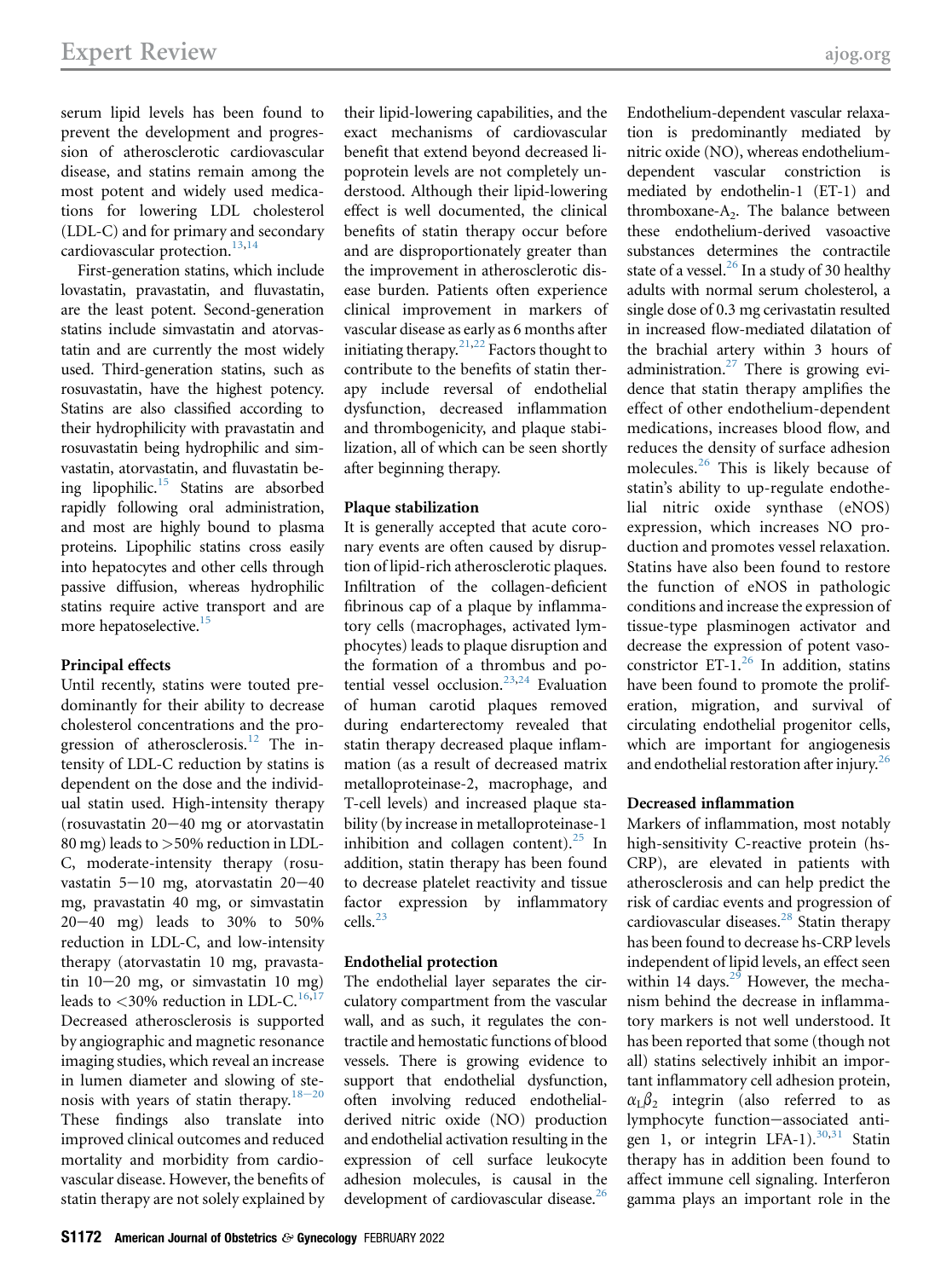serum lipid levels has been found to prevent the development and progression of atherosclerotic cardiovascular disease, and statins remain among the most potent and widely used medications for lowering LDL cholesterol (LDL-C) and for primary and secondary cardiovascular protection. $13,14$  $13,14$ 

First-generation statins, which include lovastatin, pravastatin, and fluvastatin, are the least potent. Second-generation statins include simvastatin and atorvastatin and are currently the most widely used. Third-generation statins, such as rosuvastatin, have the highest potency. Statins are also classified according to their hydrophilicity with pravastatin and rosuvastatin being hydrophilic and simvastatin, atorvastatin, and fluvastatin being lipophilic. $15$  Statins are absorbed rapidly following oral administration, and most are highly bound to plasma proteins. Lipophilic statins cross easily into hepatocytes and other cells through passive diffusion, whereas hydrophilic statins require active transport and are more hepatoselective.<sup>[15](#page-9-9)</sup>

### Principal effects

Until recently, statins were touted predominantly for their ability to decrease cholesterol concentrations and the pro-gression of atherosclerosis.<sup>[12](#page-9-10)</sup> The intensity of LDL-C reduction by statins is dependent on the dose and the individual statin used. High-intensity therapy (rosuvastatin  $20-40$  mg or atorvastatin 80 mg) leads to >50% reduction in LDL-C, moderate-intensity therapy (rosuvastatin 5-10 mg, atorvastatin 20-40 mg, pravastatin 40 mg, or simvastatin  $20-40$  mg) leads to  $30\%$  to  $50\%$ reduction in LDL-C, and low-intensity therapy (atorvastatin 10 mg, pravastatin  $10-20$  mg, or simvastatin 10 mg) leads to  $< 30\%$  reduction in LDL-C.<sup>[16](#page-9-11)[,17](#page-9-12)</sup> Decreased atherosclerosis is supported by angiographic and magnetic resonance imaging studies, which reveal an increase in lumen diameter and slowing of stenosis with years of statin therapy. $18-20$  $18-20$ These findings also translate into improved clinical outcomes and reduced mortality and morbidity from cardiovascular disease. However, the benefits of statin therapy are not solely explained by

their lipid-lowering capabilities, and the exact mechanisms of cardiovascular benefit that extend beyond decreased lipoprotein levels are not completely understood. Although their lipid-lowering effect is well documented, the clinical benefits of statin therapy occur before and are disproportionately greater than the improvement in atherosclerotic disease burden. Patients often experience clinical improvement in markers of vascular disease as early as 6 months after initiating therapy.<sup>[21,](#page-9-14)[22](#page-9-15)</sup> Factors thought to contribute to the benefits of statin therapy include reversal of endothelial dysfunction, decreased inflammation and thrombogenicity, and plaque stabilization, all of which can be seen shortly after beginning therapy.

### Plaque stabilization

It is generally accepted that acute coronary events are often caused by disruption of lipid-rich atherosclerotic plaques. Infiltration of the collagen-deficient fibrinous cap of a plaque by inflammatory cells (macrophages, activated lymphocytes) leads to plaque disruption and the formation of a thrombus and po-tential vessel occlusion.<sup>[23,](#page-9-16)[24](#page-9-17)</sup> Evaluation of human carotid plaques removed during endarterectomy revealed that statin therapy decreased plaque inflammation (as a result of decreased matrix metalloproteinase-2, macrophage, and T-cell levels) and increased plaque stability (by increase in metalloproteinase-1 inhibition and collagen content).<sup>[25](#page-9-18)</sup> In addition, statin therapy has been found to decrease platelet reactivity and tissue factor expression by inflammatory cells.<sup>[23](#page-9-16)</sup>

### Endothelial protection

The endothelial layer separates the circulatory compartment from the vascular wall, and as such, it regulates the contractile and hemostatic functions of blood vessels. There is growing evidence to support that endothelial dysfunction, often involving reduced endothelialderived nitric oxide (NO) production and endothelial activation resulting in the expression of cell surface leukocyte adhesion molecules, is causal in the development of cardiovascular disease.<sup>[26](#page-9-19)</sup>

Endothelium-dependent vascular relaxation is predominantly mediated by nitric oxide (NO), whereas endotheliumdependent vascular constriction is mediated by endothelin-1 (ET-1) and thromboxane- $A<sub>2</sub>$ . The balance between these endothelium-derived vasoactive substances determines the contractile state of a vessel. $^{26}$  $^{26}$  $^{26}$  In a study of 30 healthy adults with normal serum cholesterol, a single dose of 0.3 mg cerivastatin resulted in increased flow-mediated dilatation of the brachial artery within 3 hours of administration.<sup>27</sup> There is growing evidence that statin therapy amplifies the effect of other endothelium-dependent medications, increases blood flow, and reduces the density of surface adhesion molecules.[26](#page-9-19) This is likely because of statin's ability to up-regulate endothelial nitric oxide synthase (eNOS) expression, which increases NO production and promotes vessel relaxation. Statins have also been found to restore the function of eNOS in pathologic conditions and increase the expression of tissue-type plasminogen activator and decrease the expression of potent vasoconstrictor  $ET-1.^{26}$  $ET-1.^{26}$  $ET-1.^{26}$  In addition, statins have been found to promote the proliferation, migration, and survival of circulating endothelial progenitor cells, which are important for angiogenesis and endothelial restoration after injury.<sup>[26](#page-9-19)</sup>

### Decreased inflammation

Markers of inflammation, most notably high-sensitivity C-reactive protein (hs-CRP), are elevated in patients with atherosclerosis and can help predict the risk of cardiac events and progression of cardiovascular diseases. $^{28}$  $^{28}$  $^{28}$  Statin therapy has been found to decrease hs-CRP levels independent of lipid levels, an effect seen within 14 days. $2\frac{3}{9}$  However, the mechanism behind the decrease in inflammatory markers is not well understood. It has been reported that some (though not all) statins selectively inhibit an important inflammatory cell adhesion protein,  $\alpha_1\beta_2$  integrin (also referred to as lymphocyte function-associated antigen 1, or integrin LFA-1).  $30,31$  $30,31$  Statin therapy has in addition been found to affect immune cell signaling. Interferon gamma plays an important role in the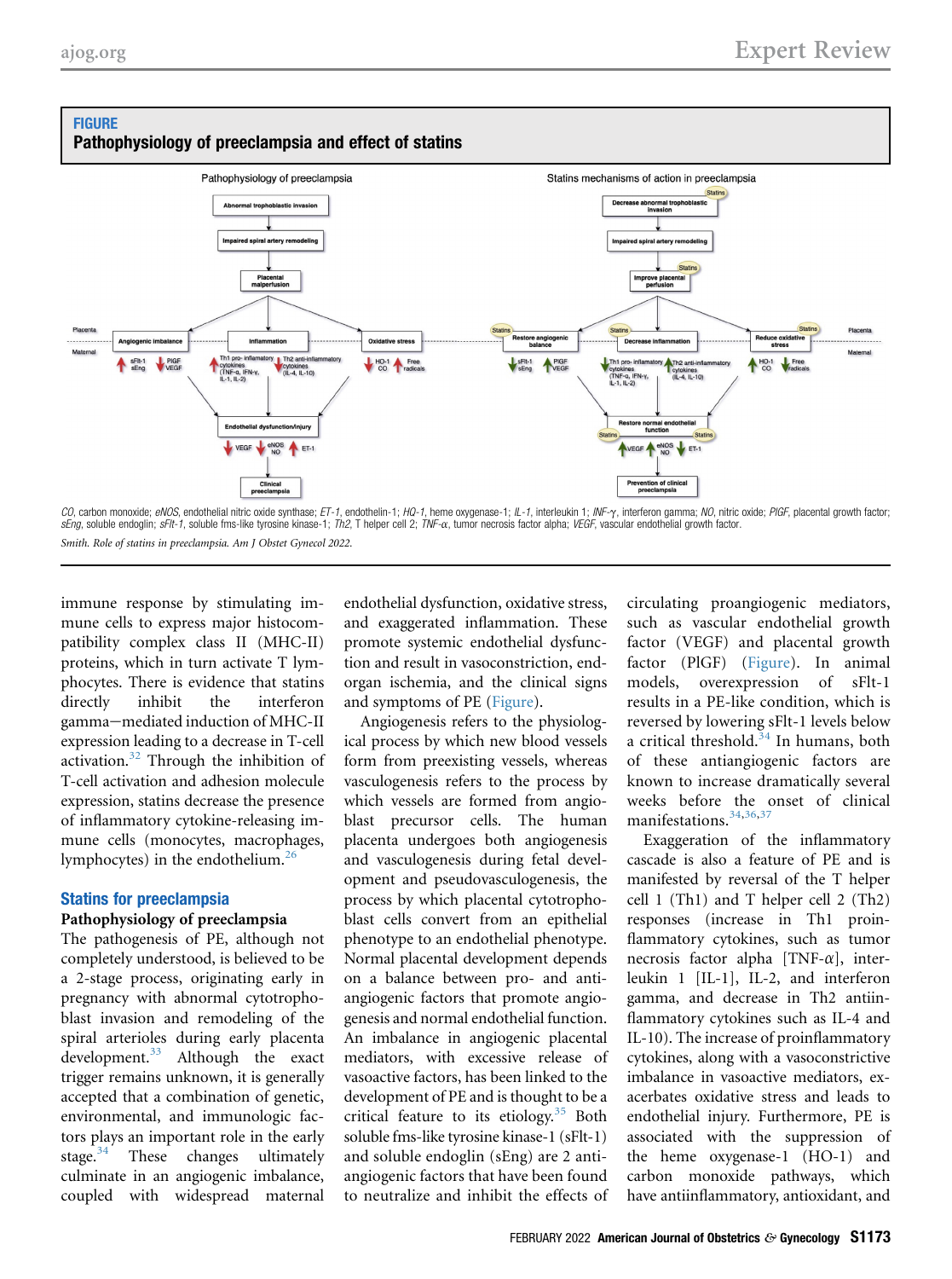<span id="page-2-0"></span>



*CO*, carbon monoxide; *eNOS*, endothelial nitric oxide synthase; *ET-1*, endothelin-1; *HQ-1*, heme oxygenase-1; //\_-1, interleukin 1; ///F-y, interferon gamma; //O, nitric oxide; PIGF, placental growth factor;<br>*sEng*, so Smith. Role of statins in preeclampsia. Am J Obstet Gynecol 2022.

immune response by stimulating immune cells to express major histocompatibility complex class II (MHC-II) proteins, which in turn activate T lymphocytes. There is evidence that statins directly inhibit the interferon gamma-mediated induction of MHC-II expression leading to a decrease in T-cell activation.[32](#page-9-25) Through the inhibition of T-cell activation and adhesion molecule expression, statins decrease the presence of inflammatory cytokine-releasing immune cells (monocytes, macrophages, lymphocytes) in the endothelium.[26](#page-9-19)

### Statins for preeclampsia

### Pathophysiology of preeclampsia

The pathogenesis of PE, although not completely understood, is believed to be a 2-stage process, originating early in pregnancy with abnormal cytotrophoblast invasion and remodeling of the spiral arterioles during early placenta development.<sup>[33](#page-9-26)</sup> Although the exact trigger remains unknown, it is generally accepted that a combination of genetic, environmental, and immunologic factors plays an important role in the early<br>stage.<sup>34</sup> These changes ultimately These changes ultimately culminate in an angiogenic imbalance, coupled with widespread maternal

endothelial dysfunction, oxidative stress, and exaggerated inflammation. These promote systemic endothelial dysfunction and result in vasoconstriction, endorgan ischemia, and the clinical signs and symptoms of PE ([Figure\)](#page-2-0).

Angiogenesis refers to the physiological process by which new blood vessels form from preexisting vessels, whereas vasculogenesis refers to the process by which vessels are formed from angioblast precursor cells. The human placenta undergoes both angiogenesis and vasculogenesis during fetal development and pseudovasculogenesis, the process by which placental cytotrophoblast cells convert from an epithelial phenotype to an endothelial phenotype. Normal placental development depends on a balance between pro- and antiangiogenic factors that promote angiogenesis and normal endothelial function. An imbalance in angiogenic placental mediators, with excessive release of vasoactive factors, has been linked to the development of PE and is thought to be a critical feature to its etiology.<sup>[35](#page-9-28)</sup> Both soluble fms-like tyrosine kinase-1 (sFlt-1) and soluble endoglin (sEng) are 2 antiangiogenic factors that have been found to neutralize and inhibit the effects of

circulating proangiogenic mediators, such as vascular endothelial growth factor (VEGF) and placental growth factor (PlGF) ([Figure](#page-2-0)). In animal models, overexpression of sFlt-1 results in a PE-like condition, which is reversed by lowering sFlt-1 levels below a critical threshold. $34$  In humans, both of these antiangiogenic factors are known to increase dramatically several weeks before the onset of clinical manifestations.<sup>[34,](#page-9-27)[36](#page-9-29),[37](#page-9-30)</sup>

Exaggeration of the inflammatory cascade is also a feature of PE and is manifested by reversal of the T helper cell 1 (Th1) and T helper cell 2 (Th2) responses (increase in Th1 proinflammatory cytokines, such as tumor necrosis factor alpha [TNF- $\alpha$ ], interleukin 1 [IL-1], IL-2, and interferon gamma, and decrease in Th2 antiinflammatory cytokines such as IL-4 and IL-10). The increase of proinflammatory cytokines, along with a vasoconstrictive imbalance in vasoactive mediators, exacerbates oxidative stress and leads to endothelial injury. Furthermore, PE is associated with the suppression of the heme oxygenase-1 (HO-1) and carbon monoxide pathways, which have antiinflammatory, antioxidant, and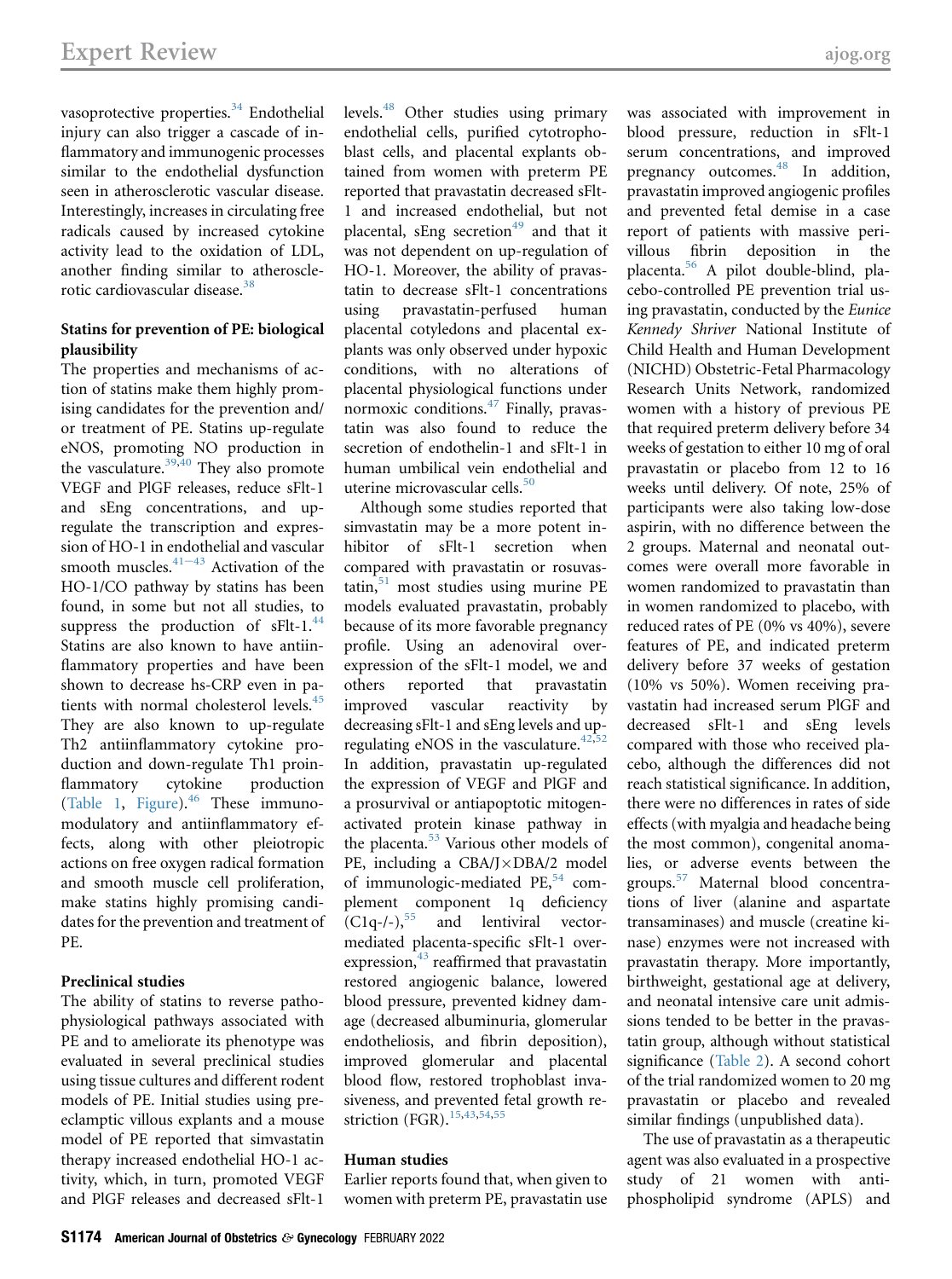vasoprotective properties.<sup>[34](#page-9-27)</sup> Endothelial injury can also trigger a cascade of inflammatory and immunogenic processes similar to the endothelial dysfunction seen in atherosclerotic vascular disease. Interestingly, increases in circulating free radicals caused by increased cytokine activity lead to the oxidation of LDL, another finding similar to atheroscle-rotic cardiovascular disease.<sup>[38](#page-9-31)</sup>

### Statins for prevention of PE: biological plausibility

The properties and mechanisms of action of statins make them highly promising candidates for the prevention and/ or treatment of PE. Statins up-regulate eNOS, promoting NO production in the vasculature. $39,40$  $39,40$  They also promote VEGF and PlGF releases, reduce sFlt-1 and sEng concentrations, and upregulate the transcription and expression of HO-1 in [endoth](#page-9-34)elial and vascular smooth muscles. $41-43$  Activation of the HO-1/CO pathway by statins has been found, in some but not all studies, to suppress the production of  $sFlt-1$ .<sup>44</sup> Statins are also known to have antiinflammatory properties and have been shown to decrease hs-CRP even in patients with normal cholesterol levels.<sup>45</sup> They are also known to up-regulate Th2 antiinflammatory cytokine production and down-regulate Th1 proinflammatory cytokine production [\(Table 1](#page-4-0), [Figure\)](#page-2-0). $46$  These immunomodulatory and antiinflammatory effects, along with other pleiotropic actions on free oxygen radical formation and smooth muscle cell proliferation, make statins highly promising candidates for the prevention and treatment of PE.

### Preclinical studies

The ability of statins to reverse pathophysiological pathways associated with PE and to ameliorate its phenotype was evaluated in several preclinical studies using tissue cultures and different rodent models of PE. Initial studies using preeclamptic villous explants and a mouse model of PE reported that simvastatin therapy increased endothelial HO-1 activity, which, in turn, promoted VEGF and PlGF releases and decreased sFlt-1

levels.[48](#page-10-3) Other studies using primary endothelial cells, purified cytotrophoblast cells, and placental explants obtained from women with preterm PE reported that pravastatin decreased sFlt-1 and increased endothelial, but not placental, sEng secretion<sup>[49](#page-10-4)</sup> and that it was not dependent on up-regulation of HO-1. Moreover, the ability of pravastatin to decrease sFlt-1 concentrations using pravastatin-perfused human placental cotyledons and placental explants was only observed under hypoxic conditions, with no alterations of placental physiological functions under normoxic conditions.<sup>[47](#page-10-5)</sup> Finally, pravastatin was also found to reduce the secretion of endothelin-1 and sFlt-1 in human umbilical vein endothelial and uterine microvascular cells.<sup>[50](#page-10-6)</sup>

Although some studies reported that simvastatin may be a more potent inhibitor of sFlt-1 secretion when compared with pravastatin or rosuvas- $\text{tatin}$ ,  $\frac{51}{1}$  $\frac{51}{1}$  $\frac{51}{1}$  most studies using murine PE models evaluated pravastatin, probably because of its more favorable pregnancy profile. Using an adenoviral overexpression of the sFlt-1 model, we and others reported that pravastatin improved vascular reactivity by decreasing sFlt-1 and sEng levels and upregulating eNOS in the vasculature. $42,52$  $42,52$ In addition, pravastatin up-regulated the expression of VEGF and PlGF and a prosurvival or antiapoptotic mitogenactivated protein kinase pathway in the placenta.<sup>[53](#page-10-10)</sup> Various other models of PE, including a  $CBA/J \times DBA/2$  model of immunologic-mediated  $PE<sub>2</sub><sup>54</sup>$  $PE<sub>2</sub><sup>54</sup>$  $PE<sub>2</sub><sup>54</sup>$  complement component 1q deficiency  $(C1q-/-),$ <sup>[55](#page-10-12)</sup> and lentiviral vectormediated placenta-specific sFlt-1 overexpression, $43$  reaffirmed that pravastatin restored angiogenic balance, lowered blood pressure, prevented kidney damage (decreased albuminuria, glomerular endotheliosis, and fibrin deposition), improved glomerular and placental blood flow, restored trophoblast invasiveness, and prevented fetal growth re-striction (FGR).<sup>[15](#page-9-9),[43](#page-10-13),[54](#page-10-11),[55](#page-10-12)</sup>

### Human studies

Earlier reports found that, when given to women with preterm PE, pravastatin use was associated with improvement in blood pressure, reduction in sFlt-1 serum concentrations, and improved pregnancy outcomes.<sup>[48](#page-10-3)</sup> In addition, pravastatin improved angiogenic profiles and prevented fetal demise in a case report of patients with massive perivillous fibrin deposition in the placenta.[56](#page-10-14) A pilot double-blind, placebo-controlled PE prevention trial using pravastatin, conducted by the Eunice Kennedy Shriver National Institute of Child Health and Human Development (NICHD) Obstetric-Fetal Pharmacology Research Units Network, randomized women with a history of previous PE that required preterm delivery before 34 weeks of gestation to either 10 mg of oral pravastatin or placebo from 12 to 16 weeks until delivery. Of note, 25% of participants were also taking low-dose aspirin, with no difference between the 2 groups. Maternal and neonatal outcomes were overall more favorable in women randomized to pravastatin than in women randomized to placebo, with reduced rates of PE (0% vs 40%), severe features of PE, and indicated preterm delivery before 37 weeks of gestation (10% vs 50%). Women receiving pravastatin had increased serum PlGF and decreased sFlt-1 and sEng levels compared with those who received placebo, although the differences did not reach statistical significance. In addition, there were no differences in rates of side effects (with myalgia and headache being the most common), congenital anomalies, or adverse events between the groups.[57](#page-10-15) Maternal blood concentrations of liver (alanine and aspartate transaminases) and muscle (creatine kinase) enzymes were not increased with pravastatin therapy. More importantly, birthweight, gestational age at delivery, and neonatal intensive care unit admissions tended to be better in the pravastatin group, although without statistical significance ([Table 2](#page-5-0)). A second cohort of the trial randomized women to 20 mg pravastatin or placebo and revealed similar findings (unpublished data).

The use of pravastatin as a therapeutic agent was also evaluated in a prospective study of 21 women with antiphospholipid syndrome (APLS) and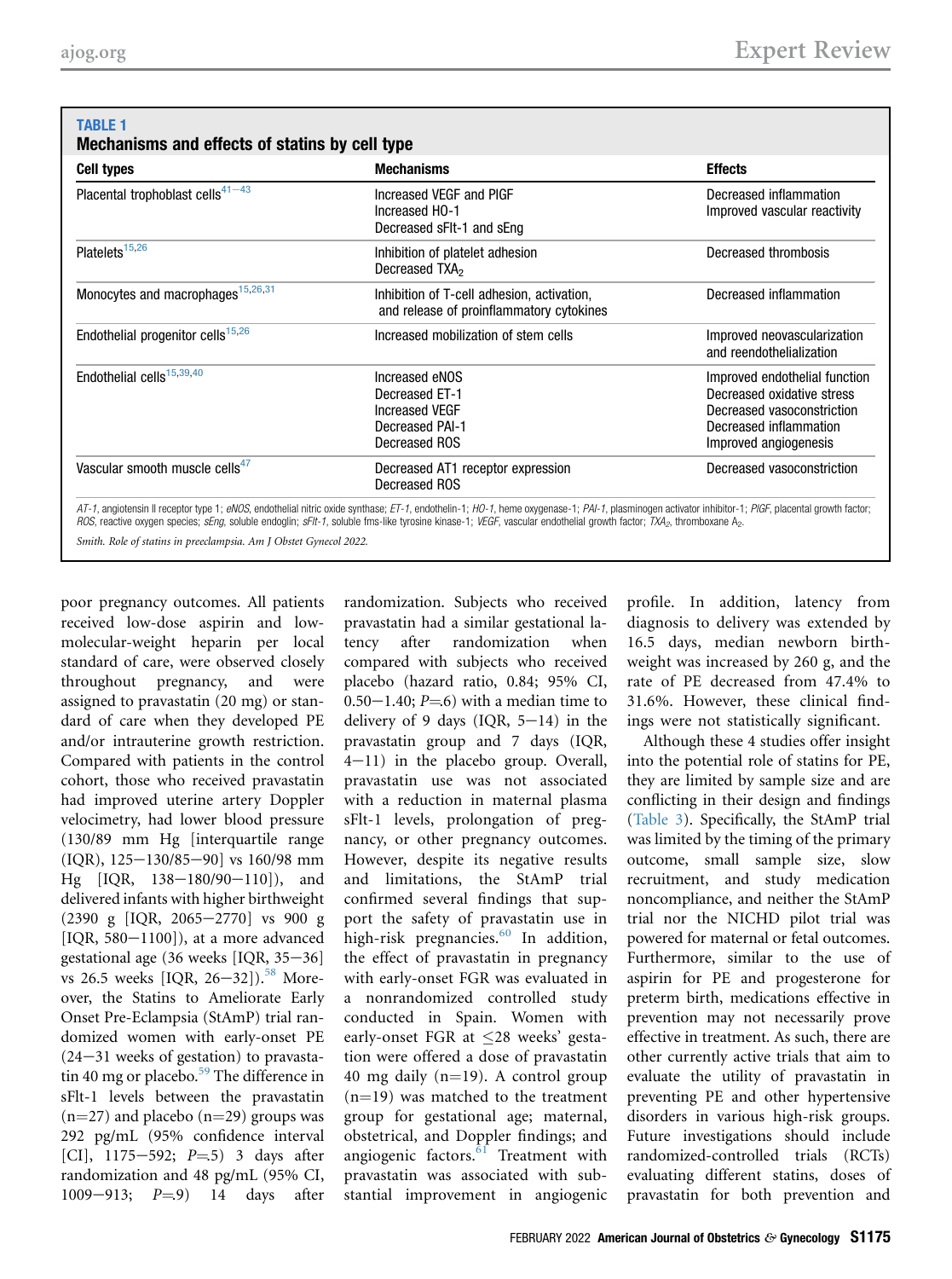## <span id="page-4-0"></span>TABLE 1

### Mechanisms and effects of statins by cell type

| <b>Cell types</b>                             | <b>Mechanisms</b>                                                                             | <b>Effects</b><br>Decreased inflammation<br>Improved vascular reactivity                                                                     |  |
|-----------------------------------------------|-----------------------------------------------------------------------------------------------|----------------------------------------------------------------------------------------------------------------------------------------------|--|
| Placental trophoblast cells $41-43$           | Increased VEGF and PIGF<br>Increased HO-1<br>Decreased sFIt-1 and sEng                        |                                                                                                                                              |  |
| Platelets <sup>15,26</sup>                    | Inhibition of platelet adhesion<br>Decreased TXA <sub>2</sub>                                 | Decreased thrombosis                                                                                                                         |  |
| Monocytes and macrophages <sup>15,26,31</sup> | Inhibition of T-cell adhesion, activation,<br>and release of proinflammatory cytokines        | Decreased inflammation                                                                                                                       |  |
| Endothelial progenitor cells <sup>15,26</sup> | Increased mobilization of stem cells                                                          | Improved neovascularization<br>and reendothelialization                                                                                      |  |
| Endothelial cells <sup>15,39,40</sup>         | Increased eNOS<br>Decreased ET-1<br><b>Increased VEGF</b><br>Decreased PAI-1<br>Decreased ROS | Improved endothelial function<br>Decreased oxidative stress<br>Decreased vasoconstriction<br>Decreased inflammation<br>Improved angiogenesis |  |
| Vascular smooth muscle cells <sup>47</sup>    | Decreased AT1 receptor expression<br>Decreased ROS                                            | Decreased vasoconstriction                                                                                                                   |  |

Smith. Role of statins in preeclampsia. Am J Obstet Gynecol 2022.

poor pregnancy outcomes. All patients received low-dose aspirin and lowmolecular-weight heparin per local standard of care, were observed closely throughout pregnancy, and were assigned to pravastatin (20 mg) or standard of care when they developed PE and/or intrauterine growth restriction. Compared with patients in the control cohort, those who received pravastatin had improved uterine artery Doppler velocimetry, had lower blood pressure (130/89 mm Hg [interquartile range  $[IQR], 125-130/85-90]$  vs 160/98 mm Hg  $[IQR, 138-180/90-110]$ ), and delivered infants with higher birthweight  $(2390 \text{ g}$  [IQR, 2065-2770] vs 900 g [IQR,  $580-1100$ ]), at a more advanced gestational age  $(36$  weeks [IQR,  $35-36$ ] vs 26.5 weeks [IQR, 26-32]).<sup>58</sup> Moreover, the Statins to Ameliorate Early Onset Pre-Eclampsia (StAmP) trial randomized women with early-onset PE  $(24-31$  weeks of gestation) to pravasta-tin 40 mg or placebo.<sup>[59](#page-10-17)</sup> The difference in sFlt-1 levels between the pravastatin  $(n=27)$  and placebo  $(n=29)$  groups was 292 pg/mL (95% confidence interval [CI],  $1175-592$ ;  $P=5$ ) 3 days after randomization and 48 pg/mL (95% CI, 1009-913;  $P = 9$ ) 14 days after

randomization. Subjects who received pravastatin had a similar gestational latency after randomization when compared with subjects who received placebo (hazard ratio, 0.84; 95% CI,  $0.50-1.40; P=6$ ) with a median time to delivery of 9 days (IQR,  $5-14$ ) in the pravastatin group and 7 days (IQR,  $4-11$ ) in the placebo group. Overall, pravastatin use was not associated with a reduction in maternal plasma sFlt-1 levels, prolongation of pregnancy, or other pregnancy outcomes. However, despite its negative results and limitations, the StAmP trial confirmed several findings that support the safety of pravastatin use in high-risk pregnancies. $60$  In addition, the effect of pravastatin in pregnancy with early-onset FGR was evaluated in a nonrandomized controlled study conducted in Spain. Women with early-onset FGR at  $\leq$ 28 weeks' gestation were offered a dose of pravastatin 40 mg daily  $(n=19)$ . A control group  $(n=19)$  was matched to the treatment group for gestational age; maternal, obstetrical, and Doppler findings; and angiogenic factors. $61$  Treatment with pravastatin was associated with substantial improvement in angiogenic

profile. In addition, latency from diagnosis to delivery was extended by 16.5 days, median newborn birthweight was increased by 260 g, and the rate of PE decreased from 47.4% to 31.6%. However, these clinical findings were not statistically significant.

Although these 4 studies offer insight into the potential role of statins for PE, they are limited by sample size and are conflicting in their design and findings [\(Table 3\)](#page-6-0). Specifically, the StAmP trial was limited by the timing of the primary outcome, small sample size, slow recruitment, and study medication noncompliance, and neither the StAmP trial nor the NICHD pilot trial was powered for maternal or fetal outcomes. Furthermore, similar to the use of aspirin for PE and progesterone for preterm birth, medications effective in prevention may not necessarily prove effective in treatment. As such, there are other currently active trials that aim to evaluate the utility of pravastatin in preventing PE and other hypertensive disorders in various high-risk groups. Future investigations should include randomized-controlled trials (RCTs) evaluating different statins, doses of pravastatin for both prevention and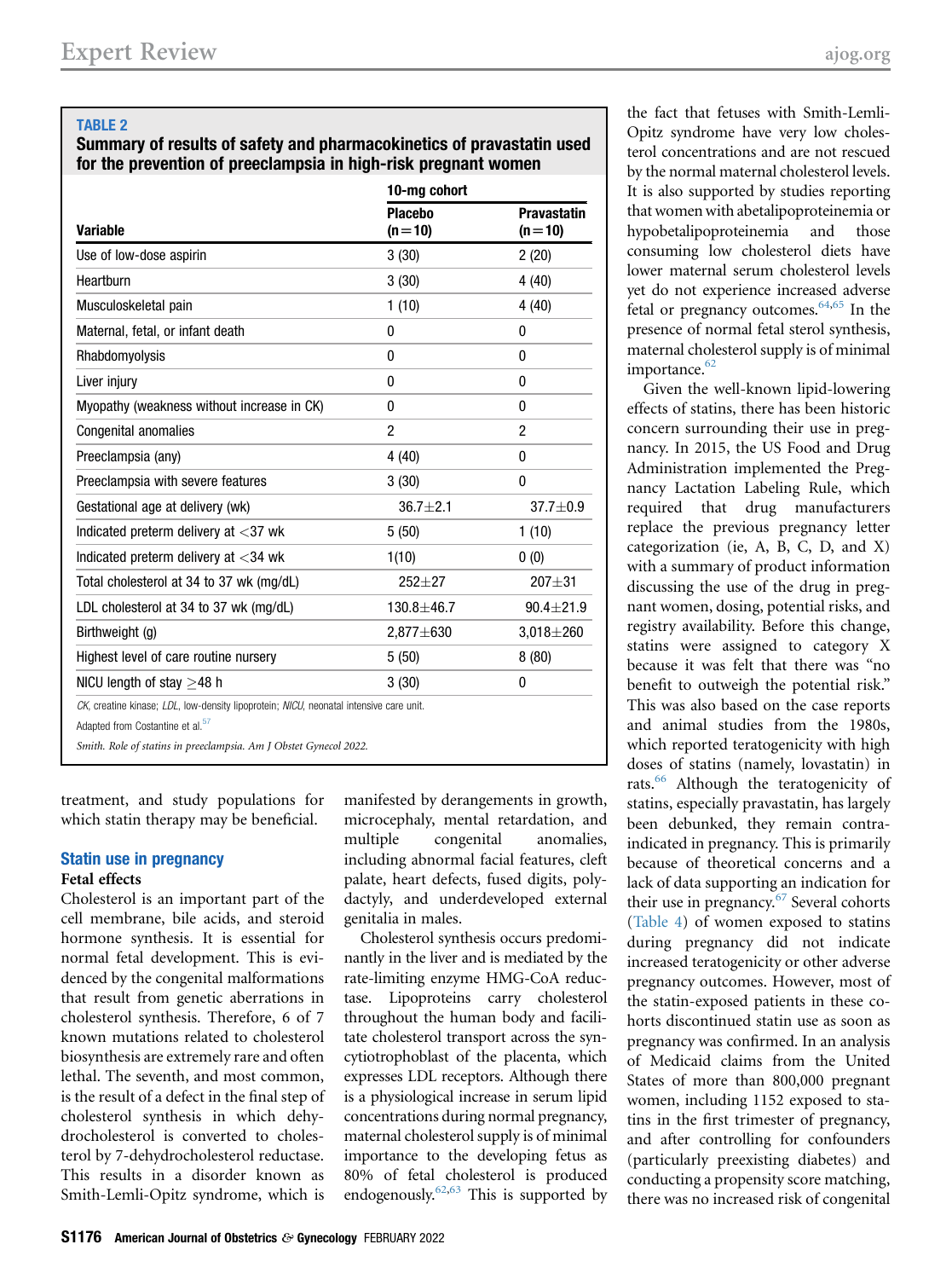### <span id="page-5-0"></span>TABLE 2

### Summary of results of safety and pharmacokinetics of pravastatin used for the prevention of preeclampsia in high-risk pregnant women

|                                                                                                                                        | 10-mg cohort               |                                |  |
|----------------------------------------------------------------------------------------------------------------------------------------|----------------------------|--------------------------------|--|
| <b>Variable</b>                                                                                                                        | <b>Placebo</b><br>$(n=10)$ | <b>Pravastatin</b><br>$(n=10)$ |  |
| Use of low-dose aspirin                                                                                                                | 3(30)                      | 2(20)                          |  |
| Heartburn                                                                                                                              | 3(30)                      | 4(40)                          |  |
| Musculoskeletal pain                                                                                                                   | 1(10)                      | 4 (40)                         |  |
| Maternal, fetal, or infant death                                                                                                       | 0                          | 0                              |  |
| Rhabdomyolysis                                                                                                                         | 0                          | 0                              |  |
| Liver injury                                                                                                                           | 0                          | 0                              |  |
| Myopathy (weakness without increase in CK)                                                                                             | 0                          | 0                              |  |
| <b>Congenital anomalies</b>                                                                                                            | $\overline{c}$             | 2                              |  |
| Preeclampsia (any)                                                                                                                     | 4(40)                      | 0                              |  |
| Preeclampsia with severe features                                                                                                      | 3(30)                      | 0                              |  |
| Gestational age at delivery (wk)                                                                                                       | $36.7 + 2.1$               | $37.7 + 0.9$                   |  |
| Indicated preterm delivery at $<$ 37 wk                                                                                                | 5(50)                      | 1(10)                          |  |
| Indicated preterm delivery at $<$ 34 wk                                                                                                | 1(10)                      | 0(0)                           |  |
| Total cholesterol at 34 to 37 wk (mg/dL)                                                                                               | $252 + 27$                 | $207 + 31$                     |  |
| LDL cholesterol at 34 to 37 wk (mg/dL)                                                                                                 | 130.8±46.7                 | $90.4 \pm 21.9$                |  |
| Birthweight (g)                                                                                                                        | 2,877±630                  | $3,018 + 260$                  |  |
| Highest level of care routine nursery                                                                                                  | 5(50)                      | 8(80)                          |  |
| NICU length of stay $>48$ h                                                                                                            | 3(30)                      | 0                              |  |
| CK, creatine kinase; LDL, low-density lipoprotein; NICU, neonatal intensive care unit.<br>Adapted from Costantine et al. <sup>57</sup> |                            |                                |  |

Smith. Role of statins in preeclampsia. Am J Obstet Gynecol 2022.

treatment, and study populations for which statin therapy may be beneficial.

#### Statin use in pregnancy Fetal effects

Cholesterol is an important part of the cell membrane, bile acids, and steroid hormone synthesis. It is essential for normal fetal development. This is evidenced by the congenital malformations that result from genetic aberrations in cholesterol synthesis. Therefore, 6 of 7 known mutations related to cholesterol biosynthesis are extremely rare and often lethal. The seventh, and most common, is the result of a defect in the final step of cholesterol synthesis in which dehydrocholesterol is converted to cholesterol by 7-dehydrocholesterol reductase. This results in a disorder known as Smith-Lemli-Opitz syndrome, which is

manifested by derangements in growth, microcephaly, mental retardation, and multiple congenital anomalies, including abnormal facial features, cleft palate, heart defects, fused digits, polydactyly, and underdeveloped external genitalia in males.

Cholesterol synthesis occurs predominantly in the liver and is mediated by the rate-limiting enzyme HMG-CoA reductase. Lipoproteins carry cholesterol throughout the human body and facilitate cholesterol transport across the syncytiotrophoblast of the placenta, which expresses LDL receptors. Although there is a physiological increase in serum lipid concentrations during normal pregnancy, maternal cholesterol supply is of minimal importance to the developing fetus as 80% of fetal cholesterol is produced endogenously.<sup>[62](#page-10-20)[,63](#page-10-21)</sup> This is supported by

the fact that fetuses with Smith-Lemli-Opitz syndrome have very low cholesterol concentrations and are not rescued by the normal maternal cholesterol levels. It is also supported by studies reporting that women with abetalipoproteinemia or hypobetalipoproteinemia and those consuming low cholesterol diets have lower maternal serum cholesterol levels yet do not experience increased adverse fetal or pregnancy outcomes.<sup>64[,65](#page-10-23)</sup> In the presence of normal fetal sterol synthesis, maternal cholesterol supply is of minimal importance. $62$ 

Given the well-known lipid-lowering effects of statins, there has been historic concern surrounding their use in pregnancy. In 2015, the US Food and Drug Administration implemented the Pregnancy Lactation Labeling Rule, which required that drug manufacturers replace the previous pregnancy letter categorization (ie, A, B, C, D, and X) with a summary of product information discussing the use of the drug in pregnant women, dosing, potential risks, and registry availability. Before this change, statins were assigned to category X because it was felt that there was "no benefit to outweigh the potential risk." This was also based on the case reports and animal studies from the 1980s, which reported teratogenicity with high doses of statins (namely, lovastatin) in rats.[66](#page-10-24) Although the teratogenicity of statins, especially pravastatin, has largely been debunked, they remain contraindicated in pregnancy. This is primarily because of theoretical concerns and a lack of data supporting an indication for their use in pregnancy.<sup>[67](#page-10-25)</sup> Several cohorts [\(Table 4](#page-7-0)) of women exposed to statins during pregnancy did not indicate increased teratogenicity or other adverse pregnancy outcomes. However, most of the statin-exposed patients in these cohorts discontinued statin use as soon as pregnancy was confirmed. In an analysis of Medicaid claims from the United States of more than 800,000 pregnant women, including 1152 exposed to statins in the first trimester of pregnancy, and after controlling for confounders (particularly preexisting diabetes) and conducting a propensity score matching, there was no increased risk of congenital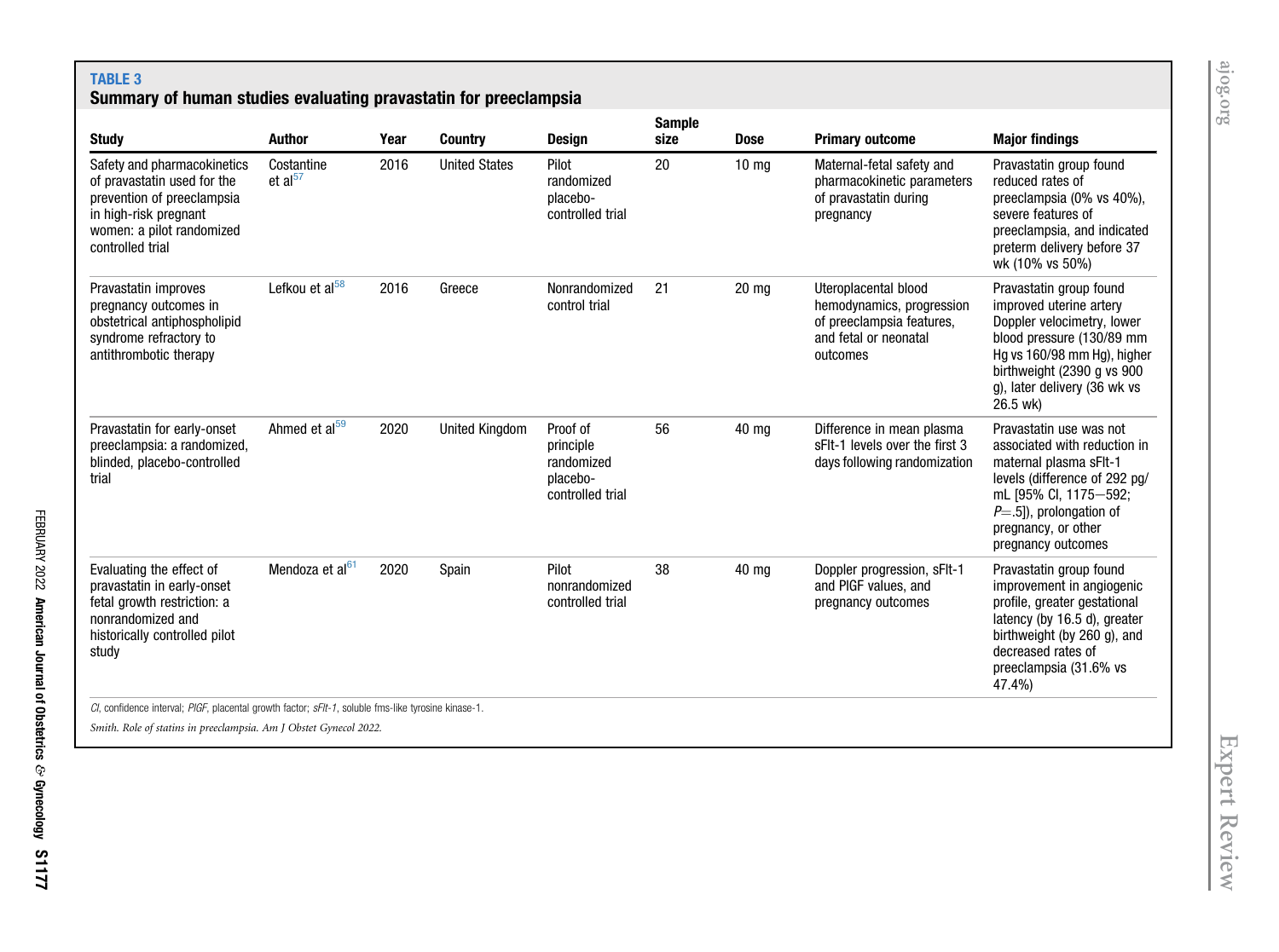# TABLE 3

### Summary of human studies evaluating pravastatin for preeclampsia

<span id="page-6-0"></span>

| <b>Study</b>                                                                                                                                                       | Author                            | Year | <b>Country</b>        | <b>Design</b>                                                       | <b>Sample</b><br>size | <b>Dose</b>      | <b>Primary outcome</b>                                                                                              | <b>Major findings</b>                                                                                                                                                                                                    |
|--------------------------------------------------------------------------------------------------------------------------------------------------------------------|-----------------------------------|------|-----------------------|---------------------------------------------------------------------|-----------------------|------------------|---------------------------------------------------------------------------------------------------------------------|--------------------------------------------------------------------------------------------------------------------------------------------------------------------------------------------------------------------------|
| Safety and pharmacokinetics<br>of pravastatin used for the<br>prevention of preeclampsia<br>in high-risk pregnant<br>women: a pilot randomized<br>controlled trial | Costantine<br>et al <sup>57</sup> | 2016 | <b>United States</b>  | Pilot<br>randomized<br>placebo-<br>controlled trial                 | 20                    | 10 <sub>mg</sub> | Maternal-fetal safety and<br>pharmacokinetic parameters<br>of pravastatin during<br>pregnancy                       | Pravastatin group found<br>reduced rates of<br>preeclampsia (0% vs 40%),<br>severe features of<br>preeclampsia, and indicated<br>preterm delivery before 37<br>wk (10% vs 50%)                                           |
| Pravastatin improves<br>pregnancy outcomes in<br>obstetrical antiphospholipid<br>syndrome refractory to<br>antithrombotic therapy                                  | Lefkou et al <sup>58</sup>        | 2016 | Greece                | Nonrandomized<br>control trial                                      | 21                    | $20 \text{ mg}$  | Uteroplacental blood<br>hemodynamics, progression<br>of preeclampsia features,<br>and fetal or neonatal<br>outcomes | Pravastatin group found<br>improved uterine artery<br>Doppler velocimetry, lower<br>blood pressure (130/89 mm<br>Hg vs 160/98 mm Hg), higher<br>birthweight (2390 g vs 900<br>g), later delivery (36 wk vs<br>26.5 wk)   |
| Pravastatin for early-onset<br>preeclampsia: a randomized,<br>blinded, placebo-controlled<br>trial                                                                 | Ahmed et al <sup>59</sup>         | 2020 | <b>United Kingdom</b> | Proof of<br>principle<br>randomized<br>placebo-<br>controlled trial | 56                    | 40 mg            | Difference in mean plasma<br>sFIt-1 levels over the first 3<br>days following randomization                         | Pravastatin use was not<br>associated with reduction in<br>maternal plasma sFlt-1<br>levels (difference of 292 pg/<br>mL [95% CI, 1175-592;<br>$P = .5$ ]), prolongation of<br>pregnancy, or other<br>pregnancy outcomes |
| Evaluating the effect of<br>pravastatin in early-onset<br>fetal growth restriction: a<br>nonrandomized and<br>historically controlled pilot<br>study               | Mendoza et al <sup>61</sup>       | 2020 | Spain                 | Pilot<br>nonrandomized<br>controlled trial                          | 38                    | 40 mg            | Doppler progression, sFIt-1<br>and PIGF values, and<br>pregnancy outcomes                                           | Pravastatin group found<br>improvement in angiogenic<br>profile, greater gestational<br>latency (by 16.5 d), greater<br>birthweight (by 260 g), and<br>decreased rates of<br>preeclampsia (31.6% vs<br>47.4%)            |
| CI, confidence interval; PIGF, placental growth factor; sFIt-1, soluble fms-like tyrosine kinase-1.                                                                |                                   |      |                       |                                                                     |                       |                  |                                                                                                                     |                                                                                                                                                                                                                          |

Smith. Role of statins in preeclampsia. Am J Obstet Gynecol 2022.

[ajog.org](http://www.AJOG.org)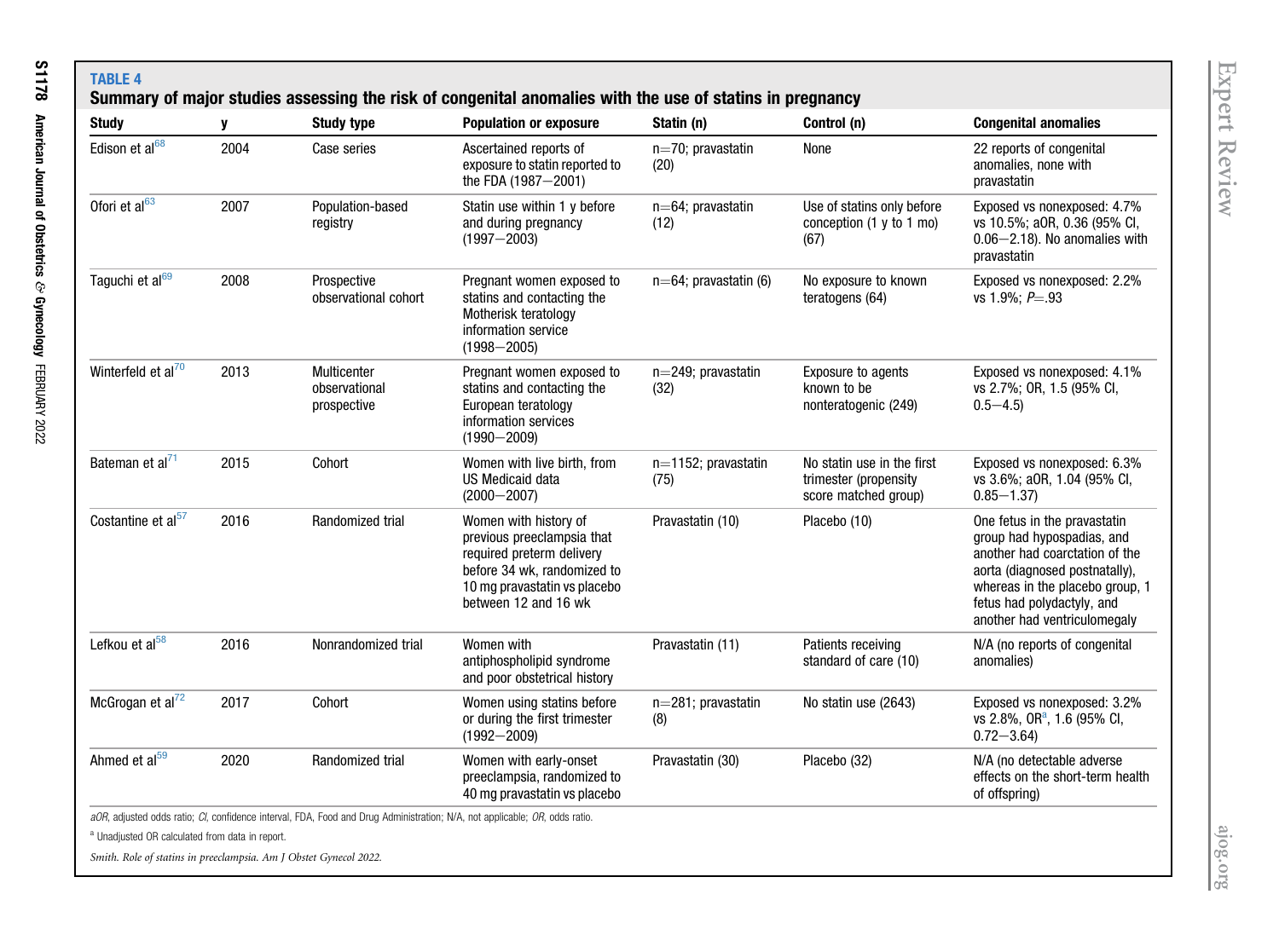<span id="page-7-0"></span>

| <b>Study</b>                   | y    | <b>Study type</b>                           | <b>Population or exposure</b>                                                                                                                                                                                           | Statin (n)                   | Control (n)                                                                 | <b>Congenital anomalies</b>                                                                                                                                                                                                     |
|--------------------------------|------|---------------------------------------------|-------------------------------------------------------------------------------------------------------------------------------------------------------------------------------------------------------------------------|------------------------------|-----------------------------------------------------------------------------|---------------------------------------------------------------------------------------------------------------------------------------------------------------------------------------------------------------------------------|
| Edison et al68                 | 2004 | Case series                                 | Ascertained reports of<br>exposure to statin reported to<br>the FDA (1987-2001)                                                                                                                                         | n=70; pravastatin<br>(20)    | None                                                                        | 22 reports of congenital<br>anomalies, none with<br>pravastatin                                                                                                                                                                 |
| Ofori et al <sup>63</sup>      | 2007 | Population-based<br>registry                | Statin use within 1 y before<br>$n=64$ ; pravastatin<br>and during pregnancy<br>(12)<br>$(1997 - 2003)$                                                                                                                 |                              | Use of statins only before<br>conception (1 y to 1 mo)<br>(67)              | Exposed vs nonexposed: 4.7%<br>vs 10.5%; aOR, 0.36 (95% CI,<br>$0.06 - 2.18$ ). No anomalies with<br>pravastatin                                                                                                                |
| Taguchi et al <sup>69</sup>    | 2008 | Prospective<br>observational cohort         | Pregnant women exposed to<br>$n=64$ ; pravastatin (6)<br>statins and contacting the<br>Motherisk teratology<br>information service<br>$(1998 - 2005)$                                                                   |                              | No exposure to known<br>teratogens (64)                                     | Exposed vs nonexposed: 2.2%<br>vs 1.9%; $P = .93$                                                                                                                                                                               |
| Winterfeld et al <sup>70</sup> | 2013 | Multicenter<br>observational<br>prospective | Pregnant women exposed to<br>$n=249$ ; pravastatin<br>Exposure to agents<br>statins and contacting the<br>known to be<br>(32)<br>European teratology<br>nonteratogenic (249)<br>information services<br>$(1990 - 2009)$ |                              |                                                                             | Exposed vs nonexposed: 4.1%<br>vs 2.7%; OR, 1.5 (95% CI,<br>$0.5 - 4.5$                                                                                                                                                         |
| Bateman et al <sup>71</sup>    | 2015 | Cohort                                      | Women with live birth, from<br>US Medicaid data<br>$(2000 - 2007)$                                                                                                                                                      | n=1152; pravastatin<br>(75)  | No statin use in the first<br>trimester (propensity<br>score matched group) | Exposed vs nonexposed: 6.3%<br>vs 3.6%; a0R, 1.04 (95% Cl,<br>$0.85 - 1.37$                                                                                                                                                     |
| Costantine et al $57$          | 2016 | Randomized trial                            | Women with history of<br>previous preeclampsia that<br>required preterm delivery<br>before 34 wk, randomized to<br>10 mg pravastatin vs placebo<br>between 12 and 16 wk                                                 | Pravastatin (10)             | Placebo (10)                                                                | One fetus in the pravastatin<br>group had hypospadias, and<br>another had coarctation of the<br>aorta (diagnosed postnatally),<br>whereas in the placebo group, 1<br>fetus had polydactyly, and<br>another had ventriculomegaly |
| Lefkou et al <sup>58</sup>     | 2016 | Nonrandomized trial                         | Women with<br>Patients receiving<br>Pravastatin (11)<br>standard of care (10)<br>antiphospholipid syndrome<br>and poor obstetrical history                                                                              |                              | N/A (no reports of congenital<br>anomalies)                                 |                                                                                                                                                                                                                                 |
| McGrogan et al $^{72}$         | 2017 | Cohort                                      | Women using statins before<br>or during the first trimester<br>$(1992 - 2009)$                                                                                                                                          | $n=281$ ; pravastatin<br>(8) | No statin use (2643)                                                        | Exposed vs nonexposed: 3.2%<br>vs 2.8%, OR <sup>a</sup> , 1.6 (95% CI,<br>$0.72 - 3.64$                                                                                                                                         |
| Ahmed et al <sup>59</sup>      | 2020 | Randomized trial                            | Women with early-onset<br>preeclampsia, randomized to<br>40 mg pravastatin vs placebo                                                                                                                                   | Pravastatin (30)             | Placebo (32)                                                                | N/A (no detectable adverse<br>effects on the short-term health<br>of offspring)                                                                                                                                                 |

Smith. Role of statins in preeclampsia. Am J Obstet Gynecol 2022.

<span id="page-7-1"></span>[ajog.org](http://www.AJOG.org)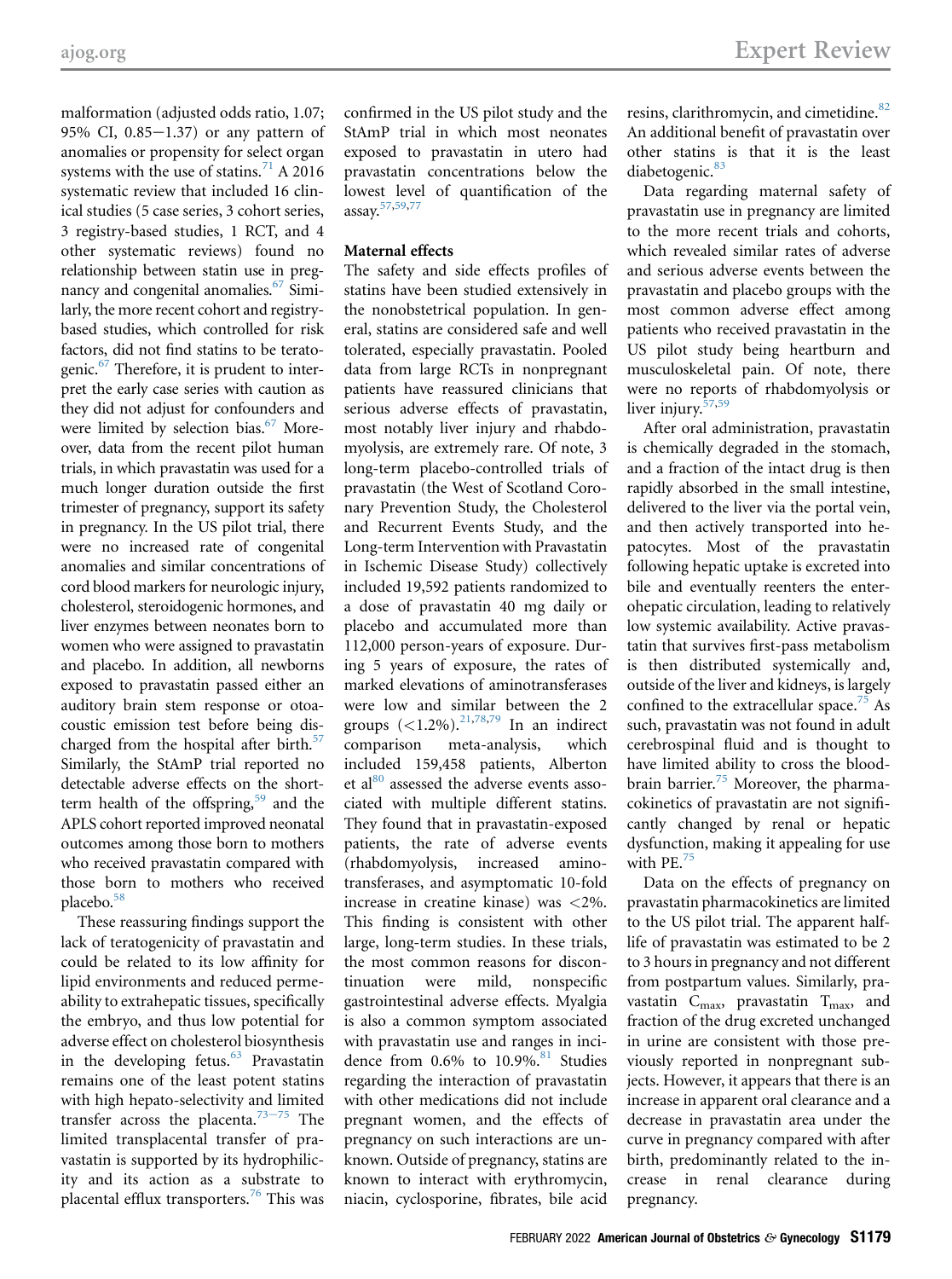malformation (adjusted odds ratio, 1.07; 95% CI,  $0.85-1.37$  or any pattern of anomalies or propensity for select organ systems with the use of statins.<sup>[71](#page-10-36)</sup> A 2016 systematic review that included 16 clinical studies (5 case series, 3 cohort series, 3 registry-based studies, 1 RCT, and 4 other systematic reviews) found no relationship between statin use in pregnancy and congenital anomalies.<sup>67</sup> Similarly, the more recent cohort and registrybased studies, which controlled for risk factors, did not find statins to be teratogenic. $67$  Therefore, it is prudent to interpret the early case series with caution as they did not adjust for confounders and were limited by selection bias.<sup>67</sup> Moreover, data from the recent pilot human trials, in which pravastatin was used for a much longer duration outside the first trimester of pregnancy, support its safety in pregnancy. In the US pilot trial, there were no increased rate of congenital anomalies and similar concentrations of cord blood markers for neurologic injury, cholesterol, steroidogenic hormones, and liver enzymes between neonates born to women who were assigned to pravastatin and placebo. In addition, all newborns exposed to pravastatin passed either an auditory brain stem response or otoacoustic emission test before being discharged from the hospital after birth. $57$ Similarly, the StAmP trial reported no detectable adverse effects on the short-term health of the offspring,<sup>[59](#page-10-17)</sup> and the APLS cohort reported improved neonatal outcomes among those born to mothers who received pravastatin compared with those born to mothers who received placebo.<sup>[58](#page-10-16)</sup>

These reassuring findings support the lack of teratogenicity of pravastatin and could be related to its low affinity for lipid environments and reduced permeability to extrahepatic tissues, specifically the embryo, and thus low potential for adverse effect on cholesterol biosynthesis in the developing fetus. $63$  Pravastatin remains one of the least potent statins with high hepato-selectivity and limited transfer across the placenta.<sup>[73](#page-10-37)-75</sup> The limited transplacental transfer of pravastatin is supported by its hydrophilicity and its action as a substrate to placental efflux transporters.<sup>[76](#page-10-38)</sup> This was

confirmed in the US pilot study and the StAmP trial in which most neonates exposed to pravastatin in utero had pravastatin concentrations below the lowest level of quantification of the assay.[57](#page-10-15),[59](#page-10-17),[77](#page-10-39)

### Maternal effects

The safety and side effects profiles of statins have been studied extensively in the nonobstetrical population. In general, statins are considered safe and well tolerated, especially pravastatin. Pooled data from large RCTs in nonpregnant patients have reassured clinicians that serious adverse effects of pravastatin, most notably liver injury and rhabdomyolysis, are extremely rare. Of note, 3 long-term placebo-controlled trials of pravastatin (the West of Scotland Coronary Prevention Study, the Cholesterol and Recurrent Events Study, and the Long-term Intervention with Pravastatin in Ischemic Disease Study) collectively included 19,592 patients randomized to a dose of pravastatin 40 mg daily or placebo and accumulated more than 112,000 person-years of exposure. During 5 years of exposure, the rates of marked elevations of aminotransferases were low and similar between the 2 groups  $(<1.2\%)$ .<sup>[21](#page-9-14)[,78](#page-10-40)[,79](#page-10-41)</sup> In an indirect comparison meta-analysis, which included 159,458 patients, Alberton et al<sup>[80](#page-10-42)</sup> assessed the adverse events associated with multiple different statins. They found that in pravastatin-exposed patients, the rate of adverse events (rhabdomyolysis, increased aminotransferases, and asymptomatic 10-fold increase in creatine kinase) was <2%. This finding is consistent with other large, long-term studies. In these trials, the most common reasons for discontinuation were mild, nonspecific gastrointestinal adverse effects. Myalgia is also a common symptom associated with pravastatin use and ranges in incidence from  $0.6\%$  to  $10.9\%$ .<sup>[81](#page-10-43)</sup> Studies regarding the interaction of pravastatin with other medications did not include pregnant women, and the effects of pregnancy on such interactions are unknown. Outside of pregnancy, statins are known to interact with erythromycin, niacin, cyclosporine, fibrates, bile acid

resins, clarithromycin, and cimetidine.<sup>[82](#page-10-44)</sup> An additional benefit of pravastatin over other statins is that it is the least diabetogenic.<sup>[83](#page-10-45)</sup>

Data regarding maternal safety of pravastatin use in pregnancy are limited to the more recent trials and cohorts, which revealed similar rates of adverse and serious adverse events between the pravastatin and placebo groups with the most common adverse effect among patients who received pravastatin in the US pilot study being heartburn and musculoskeletal pain. Of note, there were no reports of rhabdomyolysis or liver injury.<sup>[57](#page-10-15)[,59](#page-10-17)</sup>

After oral administration, pravastatin is chemically degraded in the stomach, and a fraction of the intact drug is then rapidly absorbed in the small intestine, delivered to the liver via the portal vein, and then actively transported into hepatocytes. Most of the pravastatin following hepatic uptake is excreted into bile and eventually reenters the enterohepatic circulation, leading to relatively low systemic availability. Active pravastatin that survives first-pass metabolism is then distributed systemically and, outside of the liver and kidneys, is largely confined to the extracellular space.<sup>75</sup> As such, pravastatin was not found in adult cerebrospinal fluid and is thought to have limited ability to cross the blood-brain barrier.<sup>[75](#page-10-46)</sup> Moreover, the pharmacokinetics of pravastatin are not significantly changed by renal or hepatic dysfunction, making it appealing for use with PE.<sup>[75](#page-10-46)</sup>

Data on the effects of pregnancy on pravastatin pharmacokinetics are limited to the US pilot trial. The apparent halflife of pravastatin was estimated to be 2 to 3 hours in pregnancy and not different from postpartum values. Similarly, pravastatin  $C_{\text{max}}$ , pravastatin  $T_{\text{max}}$ , and fraction of the drug excreted unchanged in urine are consistent with those previously reported in nonpregnant subjects. However, it appears that there is an increase in apparent oral clearance and a decrease in pravastatin area under the curve in pregnancy compared with after birth, predominantly related to the increase in renal clearance during pregnancy.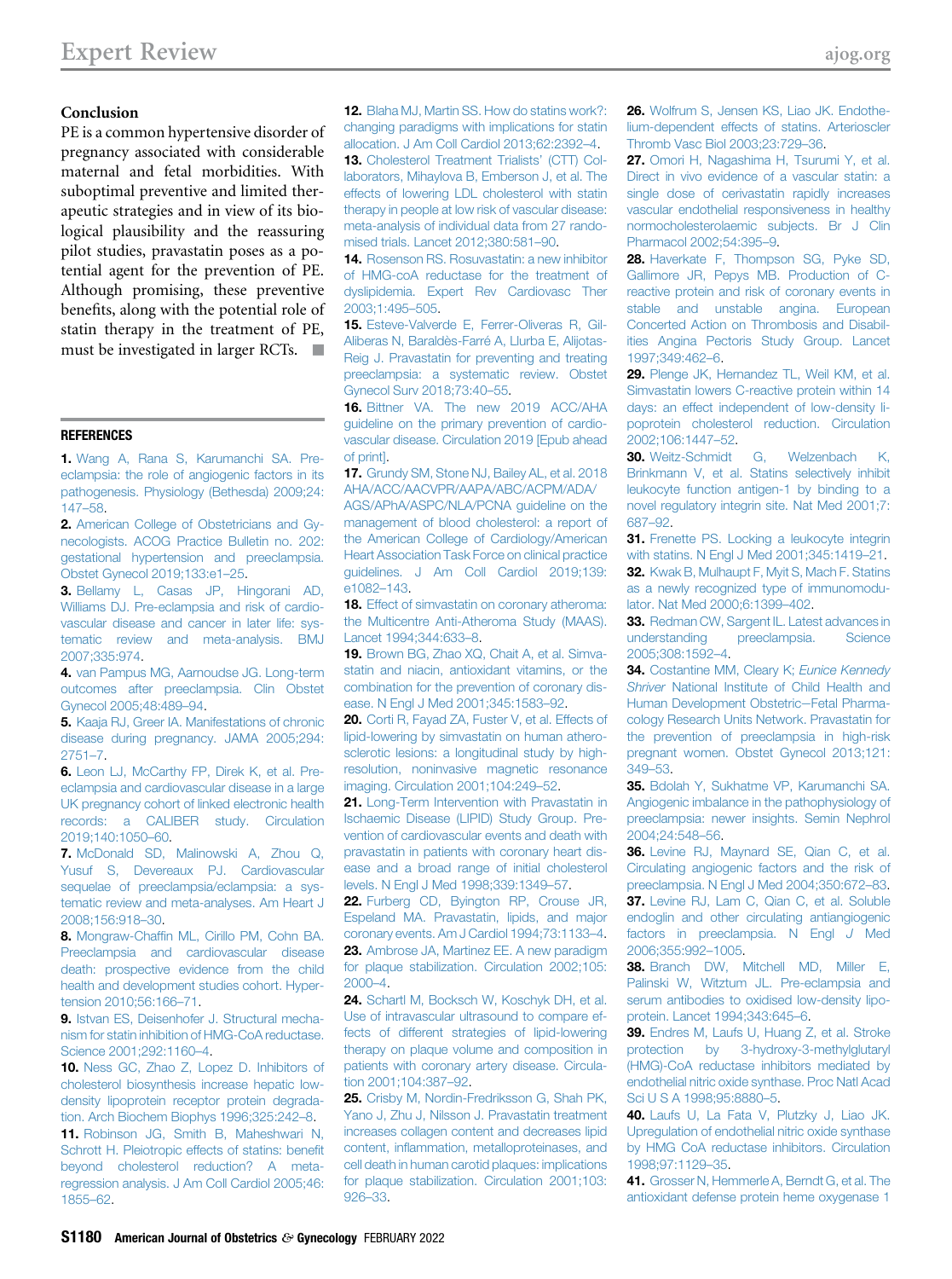### Conclusion

PE is a common hypertensive disorder of pregnancy associated with considerable maternal and fetal morbidities. With suboptimal preventive and limited therapeutic strategies and in view of its biological plausibility and the reassuring pilot studies, pravastatin poses as a potential agent for the prevention of PE. Although promising, these preventive benefits, along with the potential role of statin therapy in the treatment of PE, must be investigated in larger RCTs.  $\blacksquare$ 

#### <span id="page-9-0"></span>**REFERENCES**

<span id="page-9-1"></span>1. [Wang A, Rana S, Karumanchi SA. Pre](http://refhub.elsevier.com/S0002-9378(20)30868-1/sref1)[eclampsia: the role of angiogenic factors in its](http://refhub.elsevier.com/S0002-9378(20)30868-1/sref1) [pathogenesis. Physiology \(Bethesda\) 2009;24:](http://refhub.elsevier.com/S0002-9378(20)30868-1/sref1) [147](http://refhub.elsevier.com/S0002-9378(20)30868-1/sref1)–58.

<span id="page-9-2"></span>2. [American College of Obstetricians and Gy](http://refhub.elsevier.com/S0002-9378(20)30868-1/sref2)[necologists. ACOG Practice Bulletin no. 202:](http://refhub.elsevier.com/S0002-9378(20)30868-1/sref2) [gestational hypertension and preeclampsia.](http://refhub.elsevier.com/S0002-9378(20)30868-1/sref2) [Obstet Gynecol 2019;133:e1](http://refhub.elsevier.com/S0002-9378(20)30868-1/sref2)–25.

3. [Bellamy L, Casas JP, Hingorani AD,](http://refhub.elsevier.com/S0002-9378(20)30868-1/sref3) [Williams DJ. Pre-eclampsia and risk of cardio](http://refhub.elsevier.com/S0002-9378(20)30868-1/sref3)[vascular disease and cancer in later life: sys](http://refhub.elsevier.com/S0002-9378(20)30868-1/sref3)[tematic review and meta-analysis. BMJ](http://refhub.elsevier.com/S0002-9378(20)30868-1/sref3) [2007;335:974](http://refhub.elsevier.com/S0002-9378(20)30868-1/sref3).

4. [van Pampus MG, Aarnoudse JG. Long-term](http://refhub.elsevier.com/S0002-9378(20)30868-1/sref4) [outcomes after preeclampsia. Clin Obstet](http://refhub.elsevier.com/S0002-9378(20)30868-1/sref4) [Gynecol 2005;48:489](http://refhub.elsevier.com/S0002-9378(20)30868-1/sref4)–94.

5. [Kaaja RJ, Greer IA. Manifestations of chronic](http://refhub.elsevier.com/S0002-9378(20)30868-1/sref5) [disease during pregnancy. JAMA 2005;294:](http://refhub.elsevier.com/S0002-9378(20)30868-1/sref5) [2751](http://refhub.elsevier.com/S0002-9378(20)30868-1/sref5)–7.

<span id="page-9-3"></span>6. [Leon LJ, McCarthy FP, Direk K, et al. Pre](http://refhub.elsevier.com/S0002-9378(20)30868-1/sref6)[eclampsia and cardiovascular disease in a large](http://refhub.elsevier.com/S0002-9378(20)30868-1/sref6) [UK pregnancy cohort of linked electronic health](http://refhub.elsevier.com/S0002-9378(20)30868-1/sref6) [records: a CALIBER study. Circulation](http://refhub.elsevier.com/S0002-9378(20)30868-1/sref6) [2019;140:1050](http://refhub.elsevier.com/S0002-9378(20)30868-1/sref6)–60.

<span id="page-9-4"></span>7. [McDonald SD, Malinowski A, Zhou Q,](http://refhub.elsevier.com/S0002-9378(20)30868-1/sref7) [Yusuf S, Devereaux PJ. Cardiovascular](http://refhub.elsevier.com/S0002-9378(20)30868-1/sref7) [sequelae of preeclampsia/eclampsia: a sys](http://refhub.elsevier.com/S0002-9378(20)30868-1/sref7)[tematic review and meta-analyses. Am Heart J](http://refhub.elsevier.com/S0002-9378(20)30868-1/sref7) [2008;156:918](http://refhub.elsevier.com/S0002-9378(20)30868-1/sref7)–30.

<span id="page-9-5"></span>8. Mongraw-Chaffi[n ML, Cirillo PM, Cohn BA.](http://refhub.elsevier.com/S0002-9378(20)30868-1/sref8) [Preeclampsia and cardiovascular disease](http://refhub.elsevier.com/S0002-9378(20)30868-1/sref8) [death: prospective evidence from the child](http://refhub.elsevier.com/S0002-9378(20)30868-1/sref8) [health and development studies cohort. Hyper](http://refhub.elsevier.com/S0002-9378(20)30868-1/sref8)[tension 2010;56:166](http://refhub.elsevier.com/S0002-9378(20)30868-1/sref8)–71.

<span id="page-9-6"></span>9. [Istvan ES, Deisenhofer J. Structural mecha](http://refhub.elsevier.com/S0002-9378(20)30868-1/sref9)[nism for statin inhibition of HMG-CoA reductase.](http://refhub.elsevier.com/S0002-9378(20)30868-1/sref9) [Science 2001;292:1160](http://refhub.elsevier.com/S0002-9378(20)30868-1/sref9)–4.

10. [Ness GC, Zhao Z, Lopez D. Inhibitors of](http://refhub.elsevier.com/S0002-9378(20)30868-1/sref10) [cholesterol biosynthesis increase hepatic low](http://refhub.elsevier.com/S0002-9378(20)30868-1/sref10)[density lipoprotein receptor protein degrada](http://refhub.elsevier.com/S0002-9378(20)30868-1/sref10)[tion. Arch Biochem Biophys 1996;325:242](http://refhub.elsevier.com/S0002-9378(20)30868-1/sref10)–8.

11. [Robinson JG, Smith B, Maheshwari N,](http://refhub.elsevier.com/S0002-9378(20)30868-1/sref11) [Schrott H. Pleiotropic effects of statins: bene](http://refhub.elsevier.com/S0002-9378(20)30868-1/sref11)fit [beyond cholesterol reduction? A meta](http://refhub.elsevier.com/S0002-9378(20)30868-1/sref11)[regression analysis. J Am Coll Cardiol 2005;46:](http://refhub.elsevier.com/S0002-9378(20)30868-1/sref11) [1855](http://refhub.elsevier.com/S0002-9378(20)30868-1/sref11)–62.

<span id="page-9-10"></span>12. [Blaha MJ, Martin SS. How do statins work?:](http://refhub.elsevier.com/S0002-9378(20)30868-1/sref12) [changing paradigms with implications for statin](http://refhub.elsevier.com/S0002-9378(20)30868-1/sref12) [allocation. J Am Coll Cardiol 2013;62:2392](http://refhub.elsevier.com/S0002-9378(20)30868-1/sref12)–4. 13. [Cholesterol Treatment Trialists](http://refhub.elsevier.com/S0002-9378(20)30868-1/sref13)' (CTT) Col-

<span id="page-9-7"></span>[laborators, Mihaylova B, Emberson J, et al. The](http://refhub.elsevier.com/S0002-9378(20)30868-1/sref13) [effects of lowering LDL cholesterol with statin](http://refhub.elsevier.com/S0002-9378(20)30868-1/sref13) [therapy in people at low risk of vascular disease:](http://refhub.elsevier.com/S0002-9378(20)30868-1/sref13) [meta-analysis of individual data from 27 rando](http://refhub.elsevier.com/S0002-9378(20)30868-1/sref13)[mised trials. Lancet 2012;380:581](http://refhub.elsevier.com/S0002-9378(20)30868-1/sref13)–90.

<span id="page-9-8"></span>14. [Rosenson RS. Rosuvastatin: a new inhibitor](http://refhub.elsevier.com/S0002-9378(20)30868-1/sref14) [of HMG-coA reductase for the treatment of](http://refhub.elsevier.com/S0002-9378(20)30868-1/sref14) [dyslipidemia. Expert Rev Cardiovasc Ther](http://refhub.elsevier.com/S0002-9378(20)30868-1/sref14) [2003;1:495](http://refhub.elsevier.com/S0002-9378(20)30868-1/sref14)–505.

<span id="page-9-9"></span>15. [Esteve-Valverde E, Ferrer-Oliveras R, Gil-](http://refhub.elsevier.com/S0002-9378(20)30868-1/sref15)[Aliberas N, Baraldès-Farré A, Llurba E, Alijotas-](http://refhub.elsevier.com/S0002-9378(20)30868-1/sref15)[Reig J. Pravastatin for preventing and treating](http://refhub.elsevier.com/S0002-9378(20)30868-1/sref15) [preeclampsia: a systematic review. Obstet](http://refhub.elsevier.com/S0002-9378(20)30868-1/sref15) [Gynecol Surv 2018;73:40](http://refhub.elsevier.com/S0002-9378(20)30868-1/sref15)–55.

<span id="page-9-11"></span>16. [Bittner VA. The new 2019 ACC/AHA](http://refhub.elsevier.com/S0002-9378(20)30868-1/sref16) [guideline on the primary prevention of cardio](http://refhub.elsevier.com/S0002-9378(20)30868-1/sref16)[vascular disease. Circulation 2019 \[Epub ahead](http://refhub.elsevier.com/S0002-9378(20)30868-1/sref16) [of print\].](http://refhub.elsevier.com/S0002-9378(20)30868-1/sref16)

<span id="page-9-12"></span>17. [Grundy SM, Stone NJ, Bailey AL, et al. 2018](http://refhub.elsevier.com/S0002-9378(20)30868-1/sref17) [AHA/ACC/AACVPR/AAPA/ABC/ACPM/ADA/](http://refhub.elsevier.com/S0002-9378(20)30868-1/sref17)

[AGS/APhA/ASPC/NLA/PCNA guideline on the](http://refhub.elsevier.com/S0002-9378(20)30868-1/sref17) [management of blood cholesterol: a report of](http://refhub.elsevier.com/S0002-9378(20)30868-1/sref17) [the American College of Cardiology/American](http://refhub.elsevier.com/S0002-9378(20)30868-1/sref17) [Heart Association Task Force on clinical practice](http://refhub.elsevier.com/S0002-9378(20)30868-1/sref17) [guidelines. J Am Coll Cardiol 2019;139:](http://refhub.elsevier.com/S0002-9378(20)30868-1/sref17) [e1082](http://refhub.elsevier.com/S0002-9378(20)30868-1/sref17)–143.

<span id="page-9-13"></span>18. [Effect of simvastatin on coronary atheroma:](http://refhub.elsevier.com/S0002-9378(20)30868-1/sref18) [the Multicentre Anti-Atheroma Study \(MAAS\).](http://refhub.elsevier.com/S0002-9378(20)30868-1/sref18) [Lancet 1994;344:633](http://refhub.elsevier.com/S0002-9378(20)30868-1/sref18)–8.

19. [Brown BG, Zhao XQ, Chait A, et al. Simva](http://refhub.elsevier.com/S0002-9378(20)30868-1/sref19)[statin and niacin, antioxidant vitamins, or the](http://refhub.elsevier.com/S0002-9378(20)30868-1/sref19) [combination for the prevention of coronary dis](http://refhub.elsevier.com/S0002-9378(20)30868-1/sref19)[ease. N Engl J Med 2001;345:1583](http://refhub.elsevier.com/S0002-9378(20)30868-1/sref19)–92.

20. [Corti R, Fayad ZA, Fuster V, et al. Effects of](http://refhub.elsevier.com/S0002-9378(20)30868-1/sref20) [lipid-lowering by simvastatin on human athero](http://refhub.elsevier.com/S0002-9378(20)30868-1/sref20)[sclerotic lesions: a longitudinal study by high](http://refhub.elsevier.com/S0002-9378(20)30868-1/sref20)[resolution, noninvasive magnetic resonance](http://refhub.elsevier.com/S0002-9378(20)30868-1/sref20) [imaging. Circulation 2001;104:249](http://refhub.elsevier.com/S0002-9378(20)30868-1/sref20)–52.

<span id="page-9-14"></span>21. [Long-Term Intervention with Pravastatin in](http://refhub.elsevier.com/S0002-9378(20)30868-1/sref21) [Ischaemic Disease \(LIPID\) Study Group. Pre](http://refhub.elsevier.com/S0002-9378(20)30868-1/sref21)[vention of cardiovascular events and death with](http://refhub.elsevier.com/S0002-9378(20)30868-1/sref21) [pravastatin in patients with coronary heart dis](http://refhub.elsevier.com/S0002-9378(20)30868-1/sref21)[ease and a broad range of initial cholesterol](http://refhub.elsevier.com/S0002-9378(20)30868-1/sref21) [levels. N Engl J Med 1998;339:1349](http://refhub.elsevier.com/S0002-9378(20)30868-1/sref21)–57.

<span id="page-9-16"></span><span id="page-9-15"></span>22. [Furberg CD, Byington RP, Crouse JR,](http://refhub.elsevier.com/S0002-9378(20)30868-1/sref22) [Espeland MA. Pravastatin, lipids, and major](http://refhub.elsevier.com/S0002-9378(20)30868-1/sref22) [coronary events. Am J Cardiol 1994;73:1133](http://refhub.elsevier.com/S0002-9378(20)30868-1/sref22)–4. 23. [Ambrose JA, Martinez EE. A new paradigm](http://refhub.elsevier.com/S0002-9378(20)30868-1/sref23) [for plaque stabilization. Circulation 2002;105:](http://refhub.elsevier.com/S0002-9378(20)30868-1/sref23) [2000](http://refhub.elsevier.com/S0002-9378(20)30868-1/sref23)–4.

<span id="page-9-17"></span>24. [Schartl M, Bocksch W, Koschyk DH, et al.](http://refhub.elsevier.com/S0002-9378(20)30868-1/sref24) [Use of intravascular ultrasound to compare ef](http://refhub.elsevier.com/S0002-9378(20)30868-1/sref24)[fects of different strategies of lipid-lowering](http://refhub.elsevier.com/S0002-9378(20)30868-1/sref24) [therapy on plaque volume and composition in](http://refhub.elsevier.com/S0002-9378(20)30868-1/sref24) [patients with coronary artery disease. Circula](http://refhub.elsevier.com/S0002-9378(20)30868-1/sref24)[tion 2001;104:387](http://refhub.elsevier.com/S0002-9378(20)30868-1/sref24)–92.

<span id="page-9-18"></span>25. [Crisby M, Nordin-Fredriksson G, Shah PK,](http://refhub.elsevier.com/S0002-9378(20)30868-1/sref25) [Yano J, Zhu J, Nilsson J. Pravastatin treatment](http://refhub.elsevier.com/S0002-9378(20)30868-1/sref25) [increases collagen content and decreases lipid](http://refhub.elsevier.com/S0002-9378(20)30868-1/sref25) content, infl[ammation, metalloproteinases, and](http://refhub.elsevier.com/S0002-9378(20)30868-1/sref25) [cell death in human carotid plaques: implications](http://refhub.elsevier.com/S0002-9378(20)30868-1/sref25) [for plaque stabilization. Circulation 2001;103:](http://refhub.elsevier.com/S0002-9378(20)30868-1/sref25) [926](http://refhub.elsevier.com/S0002-9378(20)30868-1/sref25)–33.

<span id="page-9-19"></span>26. [Wolfrum S, Jensen KS, Liao JK. Endothe](http://refhub.elsevier.com/S0002-9378(20)30868-1/sref26)[lium-dependent effects of statins. Arterioscler](http://refhub.elsevier.com/S0002-9378(20)30868-1/sref26) [Thromb Vasc Biol 2003;23:729](http://refhub.elsevier.com/S0002-9378(20)30868-1/sref26)–36.

<span id="page-9-20"></span>27. [Omori H, Nagashima H, Tsurumi Y, et al.](http://refhub.elsevier.com/S0002-9378(20)30868-1/sref27) [Direct in vivo evidence of a vascular statin: a](http://refhub.elsevier.com/S0002-9378(20)30868-1/sref27) [single dose of cerivastatin rapidly increases](http://refhub.elsevier.com/S0002-9378(20)30868-1/sref27) [vascular endothelial responsiveness in healthy](http://refhub.elsevier.com/S0002-9378(20)30868-1/sref27) [normocholesterolaemic subjects. Br J Clin](http://refhub.elsevier.com/S0002-9378(20)30868-1/sref27) [Pharmacol 2002;54:395](http://refhub.elsevier.com/S0002-9378(20)30868-1/sref27)–9.

<span id="page-9-21"></span>28. [Haverkate F, Thompson SG, Pyke SD,](http://refhub.elsevier.com/S0002-9378(20)30868-1/sref28) [Gallimore JR, Pepys MB. Production of C](http://refhub.elsevier.com/S0002-9378(20)30868-1/sref28)[reactive protein and risk of coronary events in](http://refhub.elsevier.com/S0002-9378(20)30868-1/sref28) [stable and unstable angina. European](http://refhub.elsevier.com/S0002-9378(20)30868-1/sref28) [Concerted Action on Thrombosis and Disabil](http://refhub.elsevier.com/S0002-9378(20)30868-1/sref28)[ities Angina Pectoris Study Group. Lancet](http://refhub.elsevier.com/S0002-9378(20)30868-1/sref28) [1997;349:462](http://refhub.elsevier.com/S0002-9378(20)30868-1/sref28)–6.

<span id="page-9-22"></span>29. [Plenge JK, Hernandez TL, Weil KM, et al.](http://refhub.elsevier.com/S0002-9378(20)30868-1/sref29) [Simvastatin lowers C-reactive protein within 14](http://refhub.elsevier.com/S0002-9378(20)30868-1/sref29) [days: an effect independent of low-density li](http://refhub.elsevier.com/S0002-9378(20)30868-1/sref29)[poprotein cholesterol reduction. Circulation](http://refhub.elsevier.com/S0002-9378(20)30868-1/sref29) [2002;106:1447](http://refhub.elsevier.com/S0002-9378(20)30868-1/sref29)–52.

<span id="page-9-23"></span>30. [Weitz-Schmidt G, Welzenbach K,](http://refhub.elsevier.com/S0002-9378(20)30868-1/sref30) [Brinkmann V, et al. Statins selectively inhibit](http://refhub.elsevier.com/S0002-9378(20)30868-1/sref30) [leukocyte function antigen-1 by binding to a](http://refhub.elsevier.com/S0002-9378(20)30868-1/sref30) [novel regulatory integrin site. Nat Med 2001;7:](http://refhub.elsevier.com/S0002-9378(20)30868-1/sref30) [687](http://refhub.elsevier.com/S0002-9378(20)30868-1/sref30)–92.

<span id="page-9-24"></span>31. [Frenette PS. Locking a leukocyte integrin](http://refhub.elsevier.com/S0002-9378(20)30868-1/sref31) [with statins. N Engl J Med 2001;345:1419](http://refhub.elsevier.com/S0002-9378(20)30868-1/sref31)–21.

<span id="page-9-25"></span>32. [Kwak B, Mulhaupt F, Myit S, Mach F. Statins](http://refhub.elsevier.com/S0002-9378(20)30868-1/sref32) [as a newly recognized type of immunomodu](http://refhub.elsevier.com/S0002-9378(20)30868-1/sref32)[lator. Nat Med 2000;6:1399](http://refhub.elsevier.com/S0002-9378(20)30868-1/sref32)–402.

<span id="page-9-26"></span>33. [Redman CW, Sargent IL. Latest advances in](http://refhub.elsevier.com/S0002-9378(20)30868-1/sref33) [understanding preeclampsia. Science](http://refhub.elsevier.com/S0002-9378(20)30868-1/sref33) [2005;308:1592](http://refhub.elsevier.com/S0002-9378(20)30868-1/sref33)–4.

<span id="page-9-27"></span>34. [Costantine MM, Cleary K;](http://refhub.elsevier.com/S0002-9378(20)30868-1/sref34) Eunice Kennedy Shriver [National Institute of Child Health and](http://refhub.elsevier.com/S0002-9378(20)30868-1/sref34) [Human Development Obstetric](http://refhub.elsevier.com/S0002-9378(20)30868-1/sref34)-Fetal Pharma[cology Research Units Network. Pravastatin for](http://refhub.elsevier.com/S0002-9378(20)30868-1/sref34) [the prevention of preeclampsia in high-risk](http://refhub.elsevier.com/S0002-9378(20)30868-1/sref34) [pregnant women. Obstet Gynecol 2013;121:](http://refhub.elsevier.com/S0002-9378(20)30868-1/sref34) [349](http://refhub.elsevier.com/S0002-9378(20)30868-1/sref34)–53.

<span id="page-9-28"></span>35. [Bdolah Y, Sukhatme VP, Karumanchi SA.](http://refhub.elsevier.com/S0002-9378(20)30868-1/sref35) [Angiogenic imbalance in the pathophysiology of](http://refhub.elsevier.com/S0002-9378(20)30868-1/sref35) [preeclampsia: newer insights. Semin Nephrol](http://refhub.elsevier.com/S0002-9378(20)30868-1/sref35) [2004;24:548](http://refhub.elsevier.com/S0002-9378(20)30868-1/sref35)–56.

<span id="page-9-30"></span><span id="page-9-29"></span>36. [Levine RJ, Maynard SE, Qian C, et al.](http://refhub.elsevier.com/S0002-9378(20)30868-1/sref36) [Circulating angiogenic factors and the risk of](http://refhub.elsevier.com/S0002-9378(20)30868-1/sref36) [preeclampsia. N Engl J Med 2004;350:672](http://refhub.elsevier.com/S0002-9378(20)30868-1/sref36)–83. 37. [Levine RJ, Lam C, Qian C, et al. Soluble](http://refhub.elsevier.com/S0002-9378(20)30868-1/sref37) [endoglin and other circulating antiangiogenic](http://refhub.elsevier.com/S0002-9378(20)30868-1/sref37) [factors in preeclampsia. N Engl](http://refhub.elsevier.com/S0002-9378(20)30868-1/sref37) J Med [2006;355:992](http://refhub.elsevier.com/S0002-9378(20)30868-1/sref37)–1005.

<span id="page-9-31"></span>38. [Branch DW, Mitchell MD, Miller E,](http://refhub.elsevier.com/S0002-9378(20)30868-1/sref38) [Palinski W, Witztum JL. Pre-eclampsia and](http://refhub.elsevier.com/S0002-9378(20)30868-1/sref38) [serum antibodies to oxidised low-density lipo](http://refhub.elsevier.com/S0002-9378(20)30868-1/sref38)[protein. Lancet 1994;343:645](http://refhub.elsevier.com/S0002-9378(20)30868-1/sref38)–6.

<span id="page-9-32"></span>39. [Endres M, Laufs U, Huang Z, et al. Stroke](http://refhub.elsevier.com/S0002-9378(20)30868-1/sref39) [protection by 3-hydroxy-3-methylglutaryl](http://refhub.elsevier.com/S0002-9378(20)30868-1/sref39) [\(HMG\)-CoA reductase inhibitors mediated by](http://refhub.elsevier.com/S0002-9378(20)30868-1/sref39) [endothelial nitric oxide synthase. Proc Natl Acad](http://refhub.elsevier.com/S0002-9378(20)30868-1/sref39) [Sci U S A 1998;95:8880](http://refhub.elsevier.com/S0002-9378(20)30868-1/sref39)–5.

<span id="page-9-33"></span>40. [Laufs U, La Fata V, Plutzky J, Liao JK.](http://refhub.elsevier.com/S0002-9378(20)30868-1/sref40) [Upregulation of endothelial nitric oxide synthase](http://refhub.elsevier.com/S0002-9378(20)30868-1/sref40) [by HMG CoA reductase inhibitors. Circulation](http://refhub.elsevier.com/S0002-9378(20)30868-1/sref40) [1998;97:1129](http://refhub.elsevier.com/S0002-9378(20)30868-1/sref40)–35.

<span id="page-9-34"></span>41. [Grosser N, Hemmerle A, Berndt G, et al. The](http://refhub.elsevier.com/S0002-9378(20)30868-1/sref41) [antioxidant defense protein heme oxygenase 1](http://refhub.elsevier.com/S0002-9378(20)30868-1/sref41)